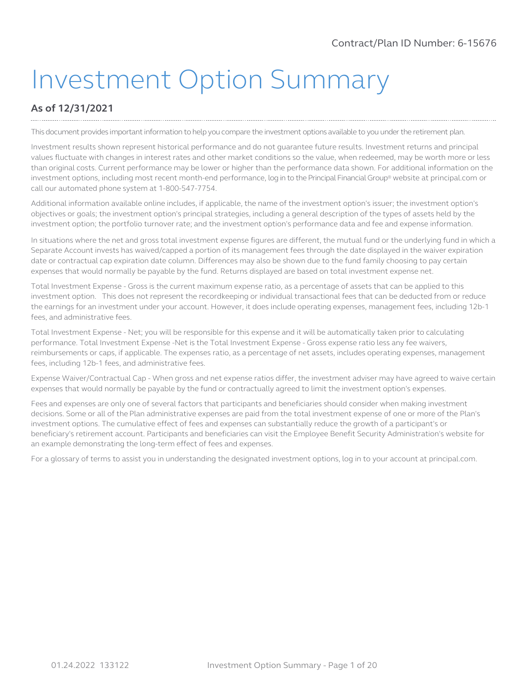# Investment Option Summary

# **As of 12/31/2021**

This document provides important information to help you compare the investment options available to you under the retirement plan.

Investment results shown represent historical performance and do not guarantee future results. Investment returns and principal values fluctuate with changes in interest rates and other market conditions so the value, when redeemed, may be worth more or less than original costs. Current performance may be lower or higher than the performance data shown. For additional information on the investment options, including most recent month-end performance, log in to the Principal FinancialGroup® website at principal.com or call our automated phone system at 1-800-547-7754.

Additional information available online includes, if applicable, the name of the investment option's issuer; the investment option's objectives or goals; the investment option's principal strategies, including a general description of the types of assets held by the investment option; the portfolio turnover rate; and the investment option's performance data and fee and expense information.

In situations where the net and gross total investment expense figures are different, the mutual fund or the underlying fund in which a Separate Account invests has waived/capped a portion of its management fees through the date displayed in the waiver expiration date or contractual cap expiration date column. Differences may also be shown due to the fund family choosing to pay certain expenses that would normally be payable by the fund. Returns displayed are based on total investment expense net.

Total Investment Expense - Gross is the current maximum expense ratio, as a percentage of assets that can be applied to this investment option. This does not represent the recordkeeping or individual transactional fees that can be deducted from or reduce the earnings for an investment under your account. However, it does include operating expenses, management fees, including 12b-1 fees, and administrative fees.

Total Investment Expense - Net; you will be responsible for this expense and it will be automatically taken prior to calculating performance. Total Investment Expense -Net is the Total Investment Expense - Gross expense ratio less any fee waivers, reimbursements or caps, if applicable. The expenses ratio, as a percentage of net assets, includes operating expenses, management fees, including 12b-1 fees, and administrative fees.

Expense Waiver/Contractual Cap - When gross and net expense ratios differ, the investment adviser may have agreed to waive certain expenses that would normally be payable by the fund or contractually agreed to limit the investment option's expenses.

Fees and expenses are only one of several factors that participants and beneficiaries should consider when making investment decisions. Some or all of the Plan administrative expenses are paid from the total investment expense of one or more of the Plan's investment options. The cumulative effect of fees and expenses can substantially reduce the growth of a participant's or beneficiary's retirement account. Participants and beneficiaries can visit the Employee Benefit Security Administration's website for an example demonstrating the long-term effect of fees and expenses.

For a glossary of terms to assist you in understanding the designated investment options, log in to your account at principal.com.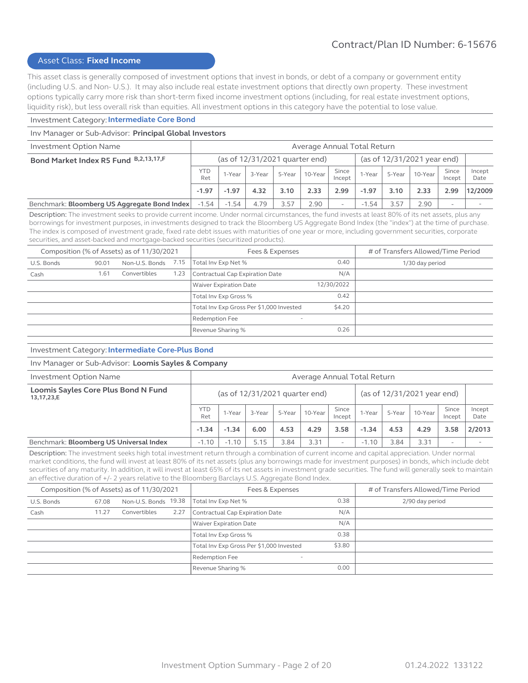#### Asset Class: **Fixed Income**

This asset class is generally composed of investment options that invest in bonds, or debt of a company or government entity (including U.S. and Non- U.S.). It may also include real estate investment options that directly own property. These investment options typically carry more risk than short-term fixed income investment options (including, for real estate investment options, liquidity risk), but less overall risk than equities. All investment options in this category have the potential to lose value.

#### Investment Category: **Intermediate Core Bond**

#### Inv Manager or Sub-Advisor: **Principal Global Investors**

| Investment Option Name                       | Average Annual Total Return      |         |        |        |             |                             |         |        |         |                          |                |
|----------------------------------------------|----------------------------------|---------|--------|--------|-------------|-----------------------------|---------|--------|---------|--------------------------|----------------|
| Bond Market Index R5 Fund B,2,13,17,F        | (as of $12/31/2021$ quarter end) |         |        |        |             | (as of 12/31/2021 year end) |         |        |         |                          |                |
|                                              | <b>YTD</b><br>Ret                | 1-Year  | 3-Year | 5-Year | 10-Year $ $ | Since<br>Incept             | 1-Year  | 5-Year | 10-Year | Since<br>Incept          | Incept<br>Date |
|                                              | $-1.97$                          | $-1.97$ | 4.32   | 3.10   | 2.33        | 2.99                        | $-1.97$ | 3.10   | 2.33    | 2.99                     | 12/2009        |
| Benchmark: Bloomberg US Aggregate Bond Index | $-1.54$                          | $-1.54$ | 4.79   | 3.57   | 2.90        |                             | $-1.54$ | 3.57   | 2.90    | $\overline{\phantom{a}}$ |                |

Description: The investment seeks to provide current income. Under normal circumstances, the fund invests at least 80% of its net assets, plus any borrowings for investment purposes, in investments designed to track the Bloomberg US Aggregate Bond Index (the "index") at the time of purchase. The index is composed of investment grade, fixed rate debt issues with maturities of one year or more, including government securities, corporate securities, and asset-backed and mortgage-backed securities (securitized products).

|            |       | Composition (% of Assets) as of 11/30/2021 |      | Fees & Expenses                            | # of Transfers Allowed/Time Period |                 |
|------------|-------|--------------------------------------------|------|--------------------------------------------|------------------------------------|-----------------|
| U.S. Bonds | 90.01 | Non-U.S. Bonds 7.15                        |      | Total Inv Exp Net %                        | 0.40                               | 1/30 day period |
| Cash       | 1.61  | Convertibles                               | 1.23 | Contractual Cap Expiration Date            | N/A                                |                 |
|            |       |                                            |      | Waiver Expiration Date                     | 12/30/2022                         |                 |
|            |       |                                            |      | Total Inv Exp Gross %                      | 0.42                               |                 |
|            |       |                                            |      | Total Inv Exp Gross Per \$1,000 Invested   | \$4.20                             |                 |
|            |       |                                            |      | Redemption Fee<br>$\overline{\phantom{a}}$ |                                    |                 |
|            |       |                                            |      | Revenue Sharing %                          | 0.26                               |                 |

#### Investment Category: **Intermediate Core-Plus Bond**

#### Inv Manager or Sub-Advisor: **Loomis Sayles & Company**

| Investment Option Name                            | Average Annual Total Return |                                  |        |        |         |                          |                             |        |         |                 |                |
|---------------------------------------------------|-----------------------------|----------------------------------|--------|--------|---------|--------------------------|-----------------------------|--------|---------|-----------------|----------------|
| Loomis Sayles Core Plus Bond N Fund<br>13,17,23,E |                             | (as of $12/31/2021$ quarter end) |        |        |         |                          | (as of 12/31/2021 year end) |        |         |                 |                |
|                                                   | <b>YTD</b><br>Ret           | 1-Year                           | 3-Year | 5-Year | 10-Year | Since<br>Incept          | I-Year                      | 5-Year | 10-Year | Since<br>Incept | Incept<br>Date |
|                                                   | $-1.34$                     | $-1.34$                          | 6.00   | 4.53   | 4.29    | 3.58                     | $-1.34$                     | 4.53   | 4.29    | 3.58            | 2/2013         |
| Benchmark: Bloomberg US Universal Index           | $-1.10$                     | $-1.10$                          | 5.15   | 3.84   | 3.31    | $\overline{\phantom{0}}$ | $-1.10$                     | 3.84   | 3.31    |                 |                |

Description: The investment seeks high total investment return through a combination of current income and capital appreciation. Under normal market conditions, the fund will invest at least 80% of its net assets (plus any borrowings made for investment purposes) in bonds, which include debt securities of any maturity. In addition, it will invest at least 65% of its net assets in investment grade securities. The fund will generally seek to maintain an effective duration of +/- 2 years relative to the Bloomberg Barclays U.S. Aggregate Bond Index.

|            |       | Composition (% of Assets) as of 11/30/2021 |      | Fees & Expenses                            | # of Transfers Allowed/Time Period |                 |
|------------|-------|--------------------------------------------|------|--------------------------------------------|------------------------------------|-----------------|
| U.S. Bonds | 67.08 | Non-U.S. Bonds 19.38                       |      | Total Inv Exp Net %                        | 0.38                               | 2/90 day period |
| Cash       | 11.27 | Convertibles                               | 2.27 | Contractual Cap Expiration Date            | N/A                                |                 |
|            |       |                                            |      | <b>Waiver Expiration Date</b>              | N/A                                |                 |
|            |       |                                            |      | Total Inv Exp Gross %                      | 0.38                               |                 |
|            |       |                                            |      | Total Inv Exp Gross Per \$1,000 Invested   | \$3.80                             |                 |
|            |       |                                            |      | Redemption Fee<br>$\overline{\phantom{a}}$ |                                    |                 |
|            |       |                                            |      | Revenue Sharing %                          | 0.00                               |                 |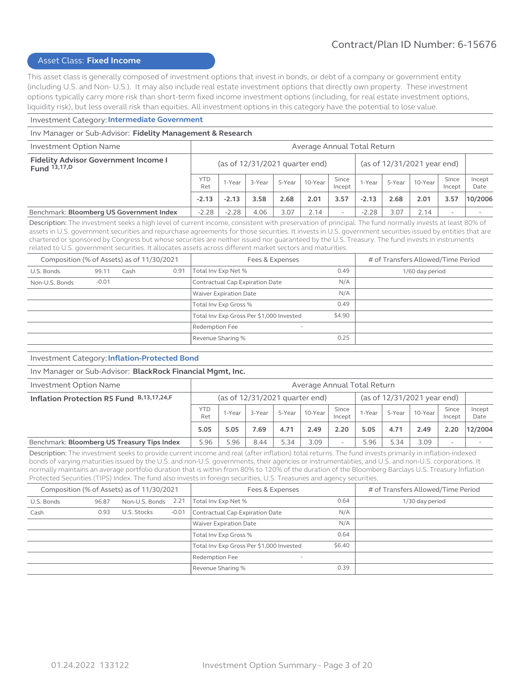# Asset Class: **Fixed Income**

This asset class is generally composed of investment options that invest in bonds, or debt of a company or government entity (including U.S. and Non- U.S.). It may also include real estate investment options that directly own property. These investment options typically carry more risk than short-term fixed income investment options (including, for real estate investment options, liquidity risk), but less overall risk than equities. All investment options in this category have the potential to lose value.

#### Investment Category: **Intermediate Government**

#### Inv Manager or Sub-Advisor: **Fidelity Management & Research**

| Average Annual Total Return |                                                               |        |        |         |                          |         |        |         |                          |                |
|-----------------------------|---------------------------------------------------------------|--------|--------|---------|--------------------------|---------|--------|---------|--------------------------|----------------|
|                             | (as of 12/31/2021 year end)<br>(as of 12/31/2021 quarter end) |        |        |         |                          |         |        |         |                          |                |
| <b>YTD</b><br>Ret           | 1-Year                                                        | 3-Year | 5-Year | 10-Year | Since<br>Incept          | 1-Year  | 5-Year | 10-Year | Since<br>Incept          | Incept<br>Date |
| $-2.13$                     | $-2.13$                                                       | 3.58   | 2.68   | 2.01    | 3.57                     | $-2.13$ | 2.68   | 2.01    | 3.57                     | 10/2006        |
| $-2.28$                     | $-2.28$                                                       | 4.06   | 3.07   | 2.14    | $\overline{\phantom{0}}$ | $-2.28$ | 3.07   | 2.14    | $\overline{\phantom{0}}$ |                |
|                             |                                                               |        |        |         |                          |         |        |         |                          |                |

Description: The investment seeks a high level of current income, consistent with preservation of principal. The fund normally invests at least 80% of assets in U.S. government securities and repurchase agreements for those securities. It invests in U.S. government securities issued by entities that are chartered or sponsored by Congress but whose securities are neither issued nor guaranteed by the U.S. Treasury. The fund invests in instruments related to U.S. government securities. It allocates assets across different market sectors and maturities.

| Composition (% of Assets) as of 11/30/2021 |         |      |      | Fees & Expenses                            | # of Transfers Allowed/Time Period |                 |
|--------------------------------------------|---------|------|------|--------------------------------------------|------------------------------------|-----------------|
| U.S. Bonds                                 | 99.11   | Cash | 0.91 | Total Inv Exp Net %                        | 0.49                               | 1/60 day period |
| Non-U.S. Bonds                             | $-0.01$ |      |      | Contractual Cap Expiration Date            | N/A                                |                 |
|                                            |         |      |      | <b>Waiver Expiration Date</b>              | N/A                                |                 |
|                                            |         |      |      | Total Inv Exp Gross %                      | 0.49                               |                 |
|                                            |         |      |      | Total Inv Exp Gross Per \$1,000 Invested   | \$4.90                             |                 |
|                                            |         |      |      | Redemption Fee<br>$\overline{\phantom{a}}$ |                                    |                 |
|                                            |         |      |      | Revenue Sharing %                          | 0.25                               |                 |

#### Investment Category: **Inflation-Protected Bond**

#### Inv Manager or Sub-Advisor: **BlackRock Financial Mgmt, Inc.**

| Investment Option Name                      | Average Annual Total Return |                                                                 |        |        |         |                          |        |        |         |                          |                |
|---------------------------------------------|-----------------------------|-----------------------------------------------------------------|--------|--------|---------|--------------------------|--------|--------|---------|--------------------------|----------------|
| Inflation Protection R5 Fund B,13,17,24,F   |                             | (as of 12/31/2021 year end)<br>(as of $12/31/2021$ quarter end) |        |        |         |                          |        |        |         |                          |                |
|                                             | <b>YTD</b><br>Ret           | 1-Year                                                          | 3-Year | 5-Year | 10-Year | Since<br>Incept          | 1-Year | 5-Year | 10-Year | Since<br>Incept          | Incept<br>Date |
|                                             | 5.05                        | 5.05                                                            | 7.69   | 4.71   | 2.49    | 2.20                     | 5.05   | 4.71   | 2.49    | 2.20                     | 12/2004        |
| Benchmark: Bloomberg US Treasury Tips Index | 5.96                        | 5.96                                                            | 8.44   | 5.34   | 3.09    | $\overline{\phantom{a}}$ | 5.96   | 5.34   | 3.09    | $\overline{\phantom{a}}$ |                |

Description: The investment seeks to provide current income and real (after inflation) total returns. The fund invests primarily in inflation-indexed bonds of varying maturities issued by the U.S. and non-U.S. governments, their agencies or instrumentalities, and U.S. and non-U.S. corporations. It normally maintains an average portfolio duration that is within from 80% to 120% of the duration of the Bloomberg Barclays U.S. Treasury Inflation Protected Securities (TIPS) Index. The fund also invests in foreign securities, U.S. Treasuries and agency securities.

|            |       | Composition (% of Assets) as of 11/30/2021 |         | Fees & Expenses                          | # of Transfers Allowed/Time Period |                 |
|------------|-------|--------------------------------------------|---------|------------------------------------------|------------------------------------|-----------------|
| U.S. Bonds | 96.87 | Non-U.S. Bonds                             | 2.21    | Total Inv Exp Net %                      | 0.64                               | 1/30 day period |
| Cash       | 0.93  | U.S. Stocks                                | $-0.01$ | Contractual Cap Expiration Date          | N/A                                |                 |
|            |       |                                            |         | Waiver Expiration Date                   | N/A                                |                 |
|            |       |                                            |         | Total Inv Exp Gross %                    | 0.64                               |                 |
|            |       |                                            |         | Total Inv Exp Gross Per \$1,000 Invested | \$6.40                             |                 |
|            |       |                                            |         | Redemption Fee<br>Ξ.                     |                                    |                 |
|            |       |                                            |         | Revenue Sharing %                        | 0.39                               |                 |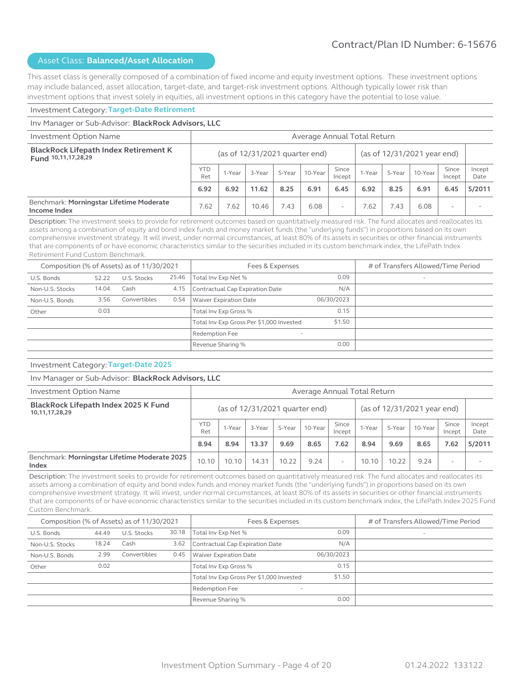This asset class is generally composed of a combination of fixed income and equity investment options. These investment options may include balanced, asset allocation, target-date, and target-risk investment options. Although typically lower risk than investment options that invest solely in equities, all investment options in this category have the potential to lose value.

#### Investment Category: **Target-Date Retirement**

#### Inv Manager or Sub-Advisor: **BlackRock Advisors, LLC** Investment Option Name Average Annual Total Return **BlackRock Lifepath Index Retirement K Fund 10,11,17,28,29** (as of 12/31/2021 quarter end) (as of 12/31/2021 year end)  $YTD$  1-Year  $\begin{array}{|c|c|c|c|c|}\n\hline\n\text{Ret} & 1-\text{Year} & 3-\text{Year} & 5-\text{Year} & 10-\text{Year} & \text{Since} & \text{Incept} & \text{Incept}\n\hline\n\end{array}$  $\begin{array}{|c|c|c|c|c|}\n\hline\n\text{Incept} & \text{1-Year} & \text{5-Year} & \text{10-Year} & \text{Incept}\n\end{array}$ Incept Incept Date **6.92 6.92 11.62 8.25 6.91 6.45 6.92 8.25 6.91 6.45 5/2011** Benchmark: **Morningstar Lifetime Moderate Income Index . Thorningstal Lifetime Troderate**  $\begin{vmatrix} 7.62 & 7.62 & 10.46 & 7.43 & 6.08 & - & 7.62 & 7.43 & 6.08 \end{vmatrix}$  -

Description: The investment seeks to provide for retirement outcomes based on quantitatively measured risk. The fund allocates and reallocates its assets among a combination of equity and bond index funds and money market funds (the "underlying funds") in proportions based on its own comprehensive investment strategy. It will invest, under normal circumstances, at least 80% of its assets in securities or other financial instruments that are components of or have economic characteristics similar to the securities included in its custom benchmark index, the LifePath Index Retirement Fund Custom Benchmark.

| Composition (% of Assets) as of 11/30/2021 |       |              |       | Fees & Expenses                                   | # of Transfers Allowed/Time Period |                          |
|--------------------------------------------|-------|--------------|-------|---------------------------------------------------|------------------------------------|--------------------------|
| U.S. Bonds                                 | 52.22 | U.S. Stocks  | 25.46 | Total Inv Exp Net %                               | 0.09                               | $\overline{\phantom{a}}$ |
| Non-U.S. Stocks                            | 14.04 | Cash         | 4.15  | Contractual Cap Expiration Date                   | N/A                                |                          |
| Non-U.S. Bonds                             | 3.56  | Convertibles | 0.54  | <b>Waiver Expiration Date</b>                     | 06/30/2023                         |                          |
| Other                                      | 0.03  |              |       | Total Inv Exp Gross %                             | 0.15                               |                          |
|                                            |       |              |       | Total Inv Exp Gross Per \$1,000 Invested          | \$1.50                             |                          |
|                                            |       |              |       | <b>Redemption Fee</b><br>$\overline{\phantom{a}}$ |                                    |                          |
|                                            |       |              |       | Revenue Sharing %                                 | 0.00                               |                          |

#### Investment Category: **Target-Date 2025**

#### Inv Manager or Sub-Advisor: **BlackRock Advisors, LLC**

| Investment Option Name                                 | Average Annual Total Return |                                                                 |        |        |         |                 |        |        |         |                 |                |
|--------------------------------------------------------|-----------------------------|-----------------------------------------------------------------|--------|--------|---------|-----------------|--------|--------|---------|-----------------|----------------|
| BlackRock Lifepath Index 2025 K Fund<br>10,11,17,28,29 |                             | (as of 12/31/2021 year end)<br>(as of $12/31/2021$ quarter end) |        |        |         |                 |        |        |         |                 |                |
|                                                        | <b>YTD</b><br>Ret           | 1-Year                                                          | 3-Year | 5-Year | 10-Year | Since<br>Incept | 1-Year | 5-Year | 10-Year | Since<br>Incept | Incept<br>Date |
|                                                        | 8.94                        | 8.94                                                            | 13.37  | 9.69   | 8.65    | 7.62            | 8.94   | 9.69   | 8.65    | 7.62            | 5/2011         |
| Benchmark: Morningstar Lifetime Moderate 2025<br>Index | 10.10                       | 10.10                                                           | 14.31  | 10.22  | 9.24    | -               | 10.10  | 10.22  | 9.24    |                 |                |

Description: The investment seeks to provide for retirement outcomes based on quantitatively measured risk. The fund allocates and reallocates its assets among a combination of equity and bond index funds and money market funds (the "underlying funds") in proportions based on its own comprehensive investment strategy. It will invest, under normal circumstances, at least 80% of its assets in securities or other financial instruments that are components of or have economic characteristics similar to the securities included in its custom benchmark index, the LifePath Index 2025 Fund Custom Benchmark.

| Composition (% of Assets) as of 11/30/2021 |       |              |       | Fees & Expenses                            | # of Transfers Allowed/Time Period |                          |
|--------------------------------------------|-------|--------------|-------|--------------------------------------------|------------------------------------|--------------------------|
| U.S. Bonds                                 | 44.49 | U.S. Stocks  | 30.18 | Total Inv Exp Net %                        | 0.09                               | $\overline{\phantom{a}}$ |
| Non-U.S. Stocks                            | 18.24 | Cash         | 3.62  | Contractual Cap Expiration Date            | N/A                                |                          |
| Non-U.S. Bonds                             | 2.99  | Convertibles | 0.45  | <b>Waiver Expiration Date</b>              | 06/30/2023                         |                          |
| Other                                      | 0.02  |              |       | Total Inv Exp Gross %                      | 0.15                               |                          |
|                                            |       |              |       | Total Inv Exp Gross Per \$1,000 Invested   | \$1.50                             |                          |
|                                            |       |              |       | Redemption Fee<br>$\overline{\phantom{a}}$ |                                    |                          |
|                                            |       |              |       | Revenue Sharing %                          | 0.00                               |                          |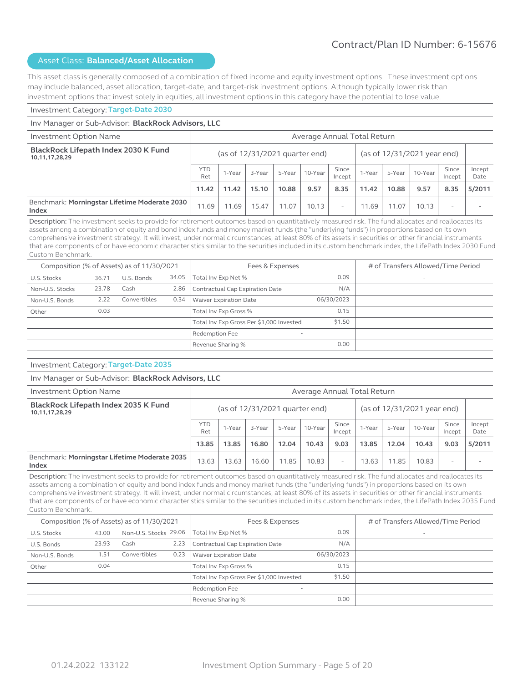This asset class is generally composed of a combination of fixed income and equity investment options. These investment options may include balanced, asset allocation, target-date, and target-risk investment options. Although typically lower risk than investment options that invest solely in equities, all investment options in this category have the potential to lose value.

#### Investment Category: **Target-Date 2030**

#### Inv Manager or Sub-Advisor: **BlackRock Advisors, LLC** Investment Option Name Average Annual Total Return **BlackRock Lifepath Index 2030 K Fund 10,11,17,28,29** (as of 12/31/2021 quarter end) (as of 12/31/2021 year end)  $YTD$  1-Year  $\begin{array}{|c|c|c|c|c|}\n\hline\n\text{Ret} & 1-\text{Year} & 3-\text{Year} & 5-\text{Year} & 10-\text{Year} & \text{Since} & \text{Incept} & \text{Incept}\n\hline\n\end{array}$  $\begin{array}{|c|c|c|c|c|}\n\hline\n\text{Incept} & \text{1-Year} & \text{5-Year} & \text{10-Year} & \text{Incept}\n\end{array}$ Incept Incept Date **11.42 11.42 15.10 10.88 9.57 8.35 11.42 10.88 9.57 8.35 5/2011** Benchmark: **Morningstar Lifetime Moderate 2030 Index Index Index Index Index Index Index Index Index Index Index Index Index Index Index Index Index Index Index Index Index Index Index Index Index Index Index Index**

Description: The investment seeks to provide for retirement outcomes based on quantitatively measured risk. The fund allocates and reallocates its assets among a combination of equity and bond index funds and money market funds (the "underlying funds") in proportions based on its own comprehensive investment strategy. It will invest, under normal circumstances, at least 80% of its assets in securities or other financial instruments that are components of or have economic characteristics similar to the securities included in its custom benchmark index, the LifePath Index 2030 Fund Custom Benchmark.

| Composition (% of Assets) as of 11/30/2021 |       |              |       | Fees & Expenses                            | # of Transfers Allowed/Time Period |                          |
|--------------------------------------------|-------|--------------|-------|--------------------------------------------|------------------------------------|--------------------------|
| U.S. Stocks                                | 36.71 | U.S. Bonds   | 34.05 | Total Inv Exp Net %                        | 0.09                               | $\overline{\phantom{a}}$ |
| Non-U.S. Stocks                            | 23.78 | Cash         | 2.86  | Contractual Cap Expiration Date            | N/A                                |                          |
| Non-U.S. Bonds                             | 2.22  | Convertibles | 0.34  | <b>Waiver Expiration Date</b>              | 06/30/2023                         |                          |
| Other                                      | 0.03  |              |       | Total Inv Exp Gross %                      | 0.15                               |                          |
|                                            |       |              |       | Total Inv Exp Gross Per \$1,000 Invested   | \$1.50                             |                          |
|                                            |       |              |       | Redemption Fee<br>$\overline{\phantom{a}}$ |                                    |                          |
|                                            |       |              |       | Revenue Sharing %                          | 0.00                               |                          |

#### Investment Category: **Target-Date 2035**

#### Inv Manager or Sub-Advisor: **BlackRock Advisors, LLC**

| Investment Option Name                                 |                   | Average Annual Total Return                                     |        |        |         |                 |        |        |         |                 |                |
|--------------------------------------------------------|-------------------|-----------------------------------------------------------------|--------|--------|---------|-----------------|--------|--------|---------|-----------------|----------------|
| BlackRock Lifepath Index 2035 K Fund<br>10,11,17,28,29 |                   | (as of $12/31/2021$ quarter end)<br>(as of 12/31/2021 year end) |        |        |         |                 |        |        |         |                 |                |
|                                                        | <b>YTD</b><br>Ret | 1-Year                                                          | 3-Year | 5-Year | 10-Year | Since<br>Incept | 1-Year | 5-Year | 10-Year | Since<br>Incept | Incept<br>Date |
|                                                        | 13.85             | 13.85                                                           | 16.80  | 12.04  | 10.43   | 9.03            | 13.85  | 12.04  | 10.43   | 9.03            | 5/2011         |
| Benchmark: Morningstar Lifetime Moderate 2035<br>Index | 13.63             | 13.63                                                           | 16.60  | 11.85  | 10.83   | -               | 13.63  | 11.85  | 10.83   |                 |                |

Description: The investment seeks to provide for retirement outcomes based on quantitatively measured risk. The fund allocates and reallocates its assets among a combination of equity and bond index funds and money market funds (the "underlying funds") in proportions based on its own comprehensive investment strategy. It will invest, under normal circumstances, at least 80% of its assets in securities or other financial instruments that are components of or have economic characteristics similar to the securities included in its custom benchmark index, the LifePath Index 2035 Fund Custom Benchmark.

| Composition (% of Assets) as of 11/30/2021 |       |                       |      | Fees & Expenses                            |            | # of Transfers Allowed/Time Period |
|--------------------------------------------|-------|-----------------------|------|--------------------------------------------|------------|------------------------------------|
| U.S. Stocks                                | 43.00 | Non-U.S. Stocks 29.06 |      | Total Inv Exp Net %                        | 0.09       | $\overline{\phantom{a}}$           |
| U.S. Bonds                                 | 23.93 | Cash                  | 2.23 | Contractual Cap Expiration Date            | N/A        |                                    |
| Non-U.S. Bonds                             | 1.51  | Convertibles          | 0.23 | Waiver Expiration Date                     | 06/30/2023 |                                    |
| Other                                      | 0.04  |                       |      | Total Inv Exp Gross %                      | 0.15       |                                    |
|                                            |       |                       |      | Total Inv Exp Gross Per \$1,000 Invested   | \$1.50     |                                    |
|                                            |       |                       |      | Redemption Fee<br>$\overline{\phantom{a}}$ |            |                                    |
|                                            |       |                       |      | Revenue Sharing %                          | 0.00       |                                    |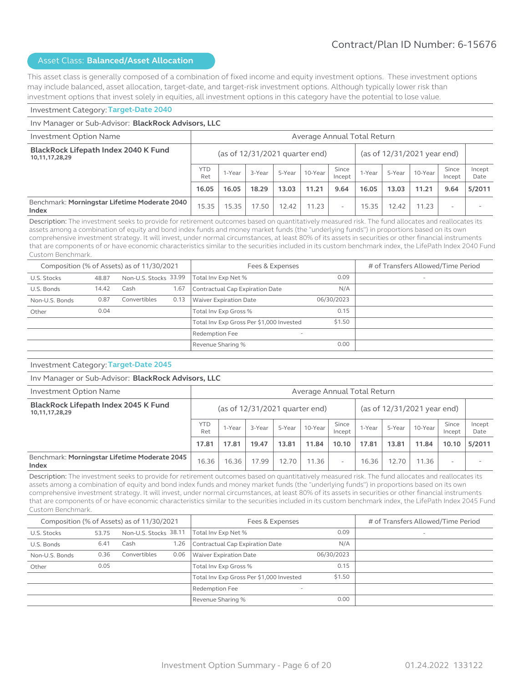This asset class is generally composed of a combination of fixed income and equity investment options. These investment options may include balanced, asset allocation, target-date, and target-risk investment options. Although typically lower risk than investment options that invest solely in equities, all investment options in this category have the potential to lose value.

#### Investment Category: **Target-Date 2040**

#### Inv Manager or Sub-Advisor: **BlackRock Advisors, LLC** Investment Option Name Average Annual Total Return **BlackRock Lifepath Index 2040 K Fund 10,11,17,28,29** (as of 12/31/2021 quarter end) (as of 12/31/2021 year end)  $YTD$  1-Year  $\begin{array}{|c|c|c|c|c|}\n\hline\n\text{Ret} & 1-\text{Year} & 3-\text{Year} & 5-\text{Year} & 10-\text{Year} & \text{Since} & \text{Incept} & \text{Incept}\n\hline\n\end{array}$  $\begin{array}{|c|c|c|c|c|}\n\hline\n\text{Incept} & \text{1-Year} & \text{5-Year} & \text{10-Year} & \text{Incept}\n\end{array}$ Incept Incept Date **16.05 16.05 18.29 13.03 11.21 9.64 16.05 13.03 11.21 9.64 5/2011** Benchmark: **Morningstar Lifetime Moderate 2040 Index Index Index Index Index Index Index Index Index Index Index Index Index Index Index Index Index Index Index Index Index Index Index Index Index Index Index Index**

Description: The investment seeks to provide for retirement outcomes based on quantitatively measured risk. The fund allocates and reallocates its assets among a combination of equity and bond index funds and money market funds (the "underlying funds") in proportions based on its own comprehensive investment strategy. It will invest, under normal circumstances, at least 80% of its assets in securities or other financial instruments that are components of or have economic characteristics similar to the securities included in its custom benchmark index, the LifePath Index 2040 Fund Custom Benchmark.

|                |       | Composition (% of Assets) as of 11/30/2021 |      | Fees & Expenses                            |            | # of Transfers Allowed/Time Period |
|----------------|-------|--------------------------------------------|------|--------------------------------------------|------------|------------------------------------|
| U.S. Stocks    | 48.87 | Non-U.S. Stocks 33.99                      |      | Total Inv Exp Net %                        | 0.09       | $\overline{\phantom{a}}$           |
| U.S. Bonds     | 14.42 | Cash                                       | 1.67 | Contractual Cap Expiration Date            | N/A        |                                    |
| Non-U.S. Bonds | 0.87  | Convertibles                               | 0.13 | Waiver Expiration Date                     | 06/30/2023 |                                    |
| Other          | 0.04  |                                            |      | Total Inv Exp Gross %                      | 0.15       |                                    |
|                |       |                                            |      | Total Inv Exp Gross Per \$1,000 Invested   | \$1.50     |                                    |
|                |       |                                            |      | Redemption Fee<br>$\overline{\phantom{0}}$ |            |                                    |
|                |       |                                            |      | Revenue Sharing %                          | 0.00       |                                    |

#### Investment Category: **Target-Date 2045**

#### Inv Manager or Sub-Advisor: **BlackRock Advisors, LLC**

| Investment Option Name                                 |                   | Average Annual Total Return                                     |        |        |         |                 |        |        |         |                 |                |
|--------------------------------------------------------|-------------------|-----------------------------------------------------------------|--------|--------|---------|-----------------|--------|--------|---------|-----------------|----------------|
| BlackRock Lifepath Index 2045 K Fund<br>10,11,17,28,29 |                   | (as of 12/31/2021 year end)<br>(as of $12/31/2021$ quarter end) |        |        |         |                 |        |        |         |                 |                |
|                                                        | <b>YTD</b><br>Ret | 1-Year                                                          | 3-Year | 5-Year | 10-Year | Since<br>Incept | 1-Year | 5-Year | 10-Year | Since<br>Incept | Incept<br>Date |
|                                                        | 17.81             | 17.81                                                           | 19.47  | 13.81  | 11.84   | 10.10           | 17.81  | 13.81  | 11.84   | 10.10           | 5/2011         |
| Benchmark: Morningstar Lifetime Moderate 2045<br>Index | 16.36             | 16.36                                                           | 17.99  | 12.70  | 11.36   | -               | 16.36  | 12.70  | 11.36   |                 |                |

Description: The investment seeks to provide for retirement outcomes based on quantitatively measured risk. The fund allocates and reallocates its assets among a combination of equity and bond index funds and money market funds (the "underlying funds") in proportions based on its own comprehensive investment strategy. It will invest, under normal circumstances, at least 80% of its assets in securities or other financial instruments that are components of or have economic characteristics similar to the securities included in its custom benchmark index, the LifePath Index 2045 Fund Custom Benchmark.

| Composition (% of Assets) as of 11/30/2021 |       |                       |      | Fees & Expenses                            |            | # of Transfers Allowed/Time Period |
|--------------------------------------------|-------|-----------------------|------|--------------------------------------------|------------|------------------------------------|
| U.S. Stocks                                | 53.75 | Non-U.S. Stocks 38.11 |      | Total Inv Exp Net %                        | 0.09       | $\overline{\phantom{a}}$           |
| U.S. Bonds                                 | 6.41  | Cash                  | 1.26 | Contractual Cap Expiration Date            | N/A        |                                    |
| Non-U.S. Bonds                             | 0.36  | Convertibles          | 0.06 | <b>Waiver Expiration Date</b>              | 06/30/2023 |                                    |
| Other                                      | 0.05  |                       |      | Total Inv Exp Gross %                      | 0.15       |                                    |
|                                            |       |                       |      | Total Inv Exp Gross Per \$1,000 Invested   | \$1.50     |                                    |
|                                            |       |                       |      | Redemption Fee<br>$\overline{\phantom{a}}$ |            |                                    |
|                                            |       |                       |      | Revenue Sharing %                          | 0.00       |                                    |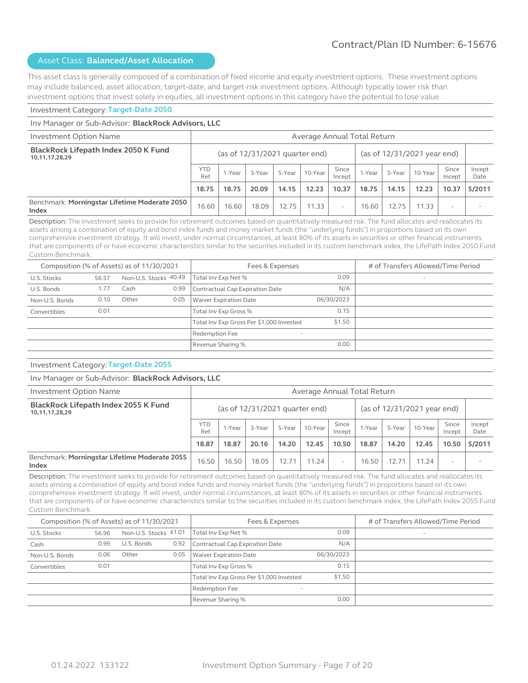This asset class is generally composed of a combination of fixed income and equity investment options. These investment options may include balanced, asset allocation, target-date, and target-risk investment options. Although typically lower risk than investment options that invest solely in equities, all investment options in this category have the potential to lose value.

#### Investment Category: **Target-Date 2050**

#### Inv Manager or Sub-Advisor: **BlackRock Advisors, LLC** Investment Option Name Average Annual Total Return **BlackRock Lifepath Index 2050 K Fund 10,11,17,28,29** (as of 12/31/2021 quarter end) (as of 12/31/2021 year end)  $YTD$  1-Year  $\begin{array}{|c|c|c|c|c|}\n\hline\n\text{Ret} & 1-\text{Year} & 3-\text{Year} & 5-\text{Year} & 10-\text{Year} & \text{Since} & \text{Incept} & \text{Incept}\n\hline\n\end{array}$  $\begin{array}{|c|c|c|c|c|}\n\hline\n\text{Incept} & \text{1-Year} & \text{5-Year} & \text{10-Year} & \text{Incept}\n\end{array}$ Incept Incept Date **18.75 18.75 20.09 14.15 12.23 10.37 18.75 14.15 12.23 10.37 5/2011** Benchmark: **Morningstar Lifetime Moderate 2050 Index Index Index Index Index Index Index Index Index Index Index Index Index Index Index Index Index Index Index Index Index Index Index Index Index Index Index Index**

Description: The investment seeks to provide for retirement outcomes based on quantitatively measured risk. The fund allocates and reallocates its assets among a combination of equity and bond index funds and money market funds (the "underlying funds") in proportions based on its own comprehensive investment strategy. It will invest, under normal circumstances, at least 80% of its assets in securities or other financial instruments that are components of or have economic characteristics similar to the securities included in its custom benchmark index, the LifePath Index 2050 Fund Custom Benchmark.

| Composition (% of Assets) as of 11/30/2021 |       |       |                       | Fees & Expenses                            |            | # of Transfers Allowed/Time Period |
|--------------------------------------------|-------|-------|-----------------------|--------------------------------------------|------------|------------------------------------|
| U.S. Stocks                                | 56.57 |       | Non-U.S. Stocks 40.49 | Total Inv Exp Net %                        | 0.09       | $\overline{\phantom{a}}$           |
| U.S. Bonds                                 | 1.77  | Cash  | 0.99                  | Contractual Cap Expiration Date            | N/A        |                                    |
| Non-U.S. Bonds                             | 0.10  | Other | 0.05                  | Waiver Expiration Date                     | 06/30/2023 |                                    |
| Convertibles                               | 0.01  |       |                       | Total Inv Exp Gross %                      | 0.15       |                                    |
|                                            |       |       |                       | Total Inv Exp Gross Per \$1,000 Invested   | \$1.50     |                                    |
|                                            |       |       |                       | Redemption Fee<br>$\overline{\phantom{0}}$ |            |                                    |
|                                            |       |       |                       | Revenue Sharing %                          | 0.00       |                                    |

#### Investment Category: **Target-Date 2055**

#### Inv Manager or Sub-Advisor: **BlackRock Advisors, LLC**

| Investment Option Name                                 |                   | Average Annual Total Return                                     |        |        |           |                 |        |        |         |                 |                |
|--------------------------------------------------------|-------------------|-----------------------------------------------------------------|--------|--------|-----------|-----------------|--------|--------|---------|-----------------|----------------|
| BlackRock Lifepath Index 2055 K Fund<br>10,11,17,28,29 |                   | (as of $12/31/2021$ quarter end)<br>(as of 12/31/2021 year end) |        |        |           |                 |        |        |         |                 |                |
|                                                        | <b>YTD</b><br>Ret | 1-Year                                                          | 3-Year | 5-Year | 10-Year   | Since<br>Incept | 1-Year | 5-Year | 10-Year | Since<br>Incept | Incept<br>Date |
|                                                        | 18.87             | 18.87                                                           | 20.16  | 14.20  | 12.45     | 10.50           | 18.87  | 14.20  | 12.45   | 10.50           | 5/2011         |
| Benchmark: Morningstar Lifetime Moderate 2055<br>Index | 16.50             | 16.50                                                           | 18.05  | 12.71  | $11.24$ . | -               | 16.50  | 12.71  | 1.24    |                 |                |

Description: The investment seeks to provide for retirement outcomes based on quantitatively measured risk. The fund allocates and reallocates its assets among a combination of equity and bond index funds and money market funds (the "underlying funds") in proportions based on its own comprehensive investment strategy. It will invest, under normal circumstances, at least 80% of its assets in securities or other financial instruments that are components of or have economic characteristics similar to the securities included in its custom benchmark index, the LifePath Index 2055 Fund Custom Benchmark.

|                | Composition (% of Assets) as of 11/30/2021<br>Non-U.S. Stocks 41.01<br>56.96<br>U.S. Bonds<br>0.99<br>Other<br>0.06<br>0.01 |  |      | Fees & Expenses                            | # of Transfers Allowed/Time Period |                          |
|----------------|-----------------------------------------------------------------------------------------------------------------------------|--|------|--------------------------------------------|------------------------------------|--------------------------|
| U.S. Stocks    |                                                                                                                             |  |      | Total Inv Exp Net %                        | 0.09                               | $\overline{\phantom{a}}$ |
| Cash           |                                                                                                                             |  | 0.92 | Contractual Cap Expiration Date            | N/A                                |                          |
| Non-U.S. Bonds |                                                                                                                             |  | 0.05 | Waiver Expiration Date                     | 06/30/2023                         |                          |
| Convertibles   |                                                                                                                             |  |      | Total Inv Exp Gross %                      | 0.15                               |                          |
|                |                                                                                                                             |  |      | Total Inv Exp Gross Per \$1,000 Invested   | \$1.50                             |                          |
|                |                                                                                                                             |  |      | Redemption Fee<br>$\overline{\phantom{a}}$ |                                    |                          |
|                |                                                                                                                             |  |      | Revenue Sharing %                          | 0.00                               |                          |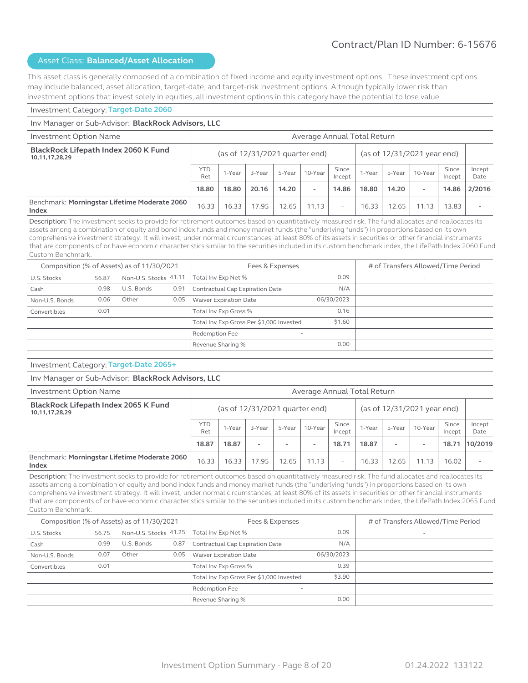This asset class is generally composed of a combination of fixed income and equity investment options. These investment options may include balanced, asset allocation, target-date, and target-risk investment options. Although typically lower risk than investment options that invest solely in equities, all investment options in this category have the potential to lose value.

#### Investment Category: **Target-Date 2060**

#### Inv Manager or Sub-Advisor: **BlackRock Advisors, LLC** Investment Option Name Average Annual Total Return **BlackRock Lifepath Index 2060 K Fund 10,11,17,28,29** (as of 12/31/2021 quarter end) (as of 12/31/2021 year end)  $YTD$  1-Year  $\begin{array}{|c|c|c|c|c|}\n\hline\n\text{Ret} & 1-\text{Year} & 3-\text{Year} & 5-\text{Year} & 10-\text{Year} & \text{Since} & \text{Incept} & \text{Incept}\n\hline\n\end{array}$  $\begin{array}{|c|c|c|c|c|}\n\hline\n\text{Incept} & \text{1-Year} & \text{5-Year} & \text{10-Year} & \text{Incept}\n\end{array}$ Incept Incept Date **18.80 18.80 20.16 14.20 - 14.86 18.80 14.20 - 14.86 2/2016** Benchmark: **Morningstar Lifetime Moderate 2060 Index Index Index Index Index Index Index Index Index Index Index Index Index Index Index Index Index Index Index Index Index Index Index Index Index Index Index Index**

Description: The investment seeks to provide for retirement outcomes based on quantitatively measured risk. The fund allocates and reallocates its assets among a combination of equity and bond index funds and money market funds (the "underlying funds") in proportions based on its own comprehensive investment strategy. It will invest, under normal circumstances, at least 80% of its assets in securities or other financial instruments that are components of or have economic characteristics similar to the securities included in its custom benchmark index, the LifePath Index 2060 Fund Custom Benchmark.

|                | Composition (% of Assets) as of 11/30/2021<br>Non-U.S. Stocks 41.11<br>56.87<br>U.S. Bonds<br>0.98<br>Other<br>0.06<br>0.01 |  |      | Fees & Expenses                                   | # of Transfers Allowed/Time Period |                          |
|----------------|-----------------------------------------------------------------------------------------------------------------------------|--|------|---------------------------------------------------|------------------------------------|--------------------------|
| U.S. Stocks    |                                                                                                                             |  |      | Total Inv Exp Net %                               | 0.09                               | $\overline{\phantom{a}}$ |
| Cash           |                                                                                                                             |  | 0.91 | Contractual Cap Expiration Date                   | N/A                                |                          |
| Non-U.S. Bonds |                                                                                                                             |  | 0.05 | <b>Waiver Expiration Date</b>                     | 06/30/2023                         |                          |
| Convertibles   |                                                                                                                             |  |      | Total Inv Exp Gross %                             | 0.16                               |                          |
|                |                                                                                                                             |  |      | Total Inv Exp Gross Per \$1,000 Invested          | \$1.60                             |                          |
|                |                                                                                                                             |  |      | <b>Redemption Fee</b><br>$\overline{\phantom{a}}$ |                                    |                          |
|                |                                                                                                                             |  |      | Revenue Sharing %                                 | 0.00                               |                          |

#### Investment Category: **Target-Date 2065+**

#### Inv Manager or Sub-Advisor: **BlackRock Advisors, LLC**

| Investment Option Name                                 |                   | Average Annual Total Return                                   |                          |                          |         |                          |        |                          |         |                 |                |
|--------------------------------------------------------|-------------------|---------------------------------------------------------------|--------------------------|--------------------------|---------|--------------------------|--------|--------------------------|---------|-----------------|----------------|
| BlackRock Lifepath Index 2065 K Fund<br>10,11,17,28,29 |                   | (as of 12/31/2021 year end)<br>(as of 12/31/2021 quarter end) |                          |                          |         |                          |        |                          |         |                 |                |
|                                                        | <b>YTD</b><br>Ret | 1-Year                                                        | 3-Year                   | 5-Year                   | 10-Year | Since<br>Incept          | 1-Year | 5-Year                   | 10-Year | Since<br>Incept | Incept<br>Date |
|                                                        | 18.87             | 18.87                                                         | $\overline{\phantom{a}}$ | $\overline{\phantom{a}}$ | $\sim$  | 18.71                    | 18.87  | $\overline{\phantom{a}}$ |         | 18.71           | 10/2019        |
| Benchmark: Morningstar Lifetime Moderate 2060<br>Index | 16.33             | 16.33                                                         | 17.95                    | 12.65                    | 11.13   | $\overline{\phantom{0}}$ | 16.33  | 12.65                    | 11.13   | 16.02           |                |

Description: The investment seeks to provide for retirement outcomes based on quantitatively measured risk. The fund allocates and reallocates its assets among a combination of equity and bond index funds and money market funds (the "underlying funds") in proportions based on its own comprehensive investment strategy. It will invest, under normal circumstances, at least 80% of its assets in securities or other financial instruments that are components of or have economic characteristics similar to the securities included in its custom benchmark index, the LifePath Index 2065 Fund Custom Benchmark.

|                | Composition (% of Assets) as of 11/30/2021<br>Non-U.S. Stocks 41.25<br>56.75<br>U.S. Bonds<br>0.99<br>Other<br>0.07<br>0.01 |  |      | Fees & Expenses                            | # of Transfers Allowed/Time Period |                          |
|----------------|-----------------------------------------------------------------------------------------------------------------------------|--|------|--------------------------------------------|------------------------------------|--------------------------|
| U.S. Stocks    |                                                                                                                             |  |      | Total Inv Exp Net %                        | 0.09                               | $\overline{\phantom{a}}$ |
| Cash           |                                                                                                                             |  | 0.87 | Contractual Cap Expiration Date            | N/A                                |                          |
| Non-U.S. Bonds |                                                                                                                             |  | 0.05 | <b>Waiver Expiration Date</b>              | 06/30/2023                         |                          |
| Convertibles   |                                                                                                                             |  |      | Total Inv Exp Gross %                      | 0.39                               |                          |
|                |                                                                                                                             |  |      | Total Inv Exp Gross Per \$1,000 Invested   | \$3.90                             |                          |
|                |                                                                                                                             |  |      | Redemption Fee<br>$\overline{\phantom{a}}$ |                                    |                          |
|                |                                                                                                                             |  |      | Revenue Sharing %                          | 0.00                               |                          |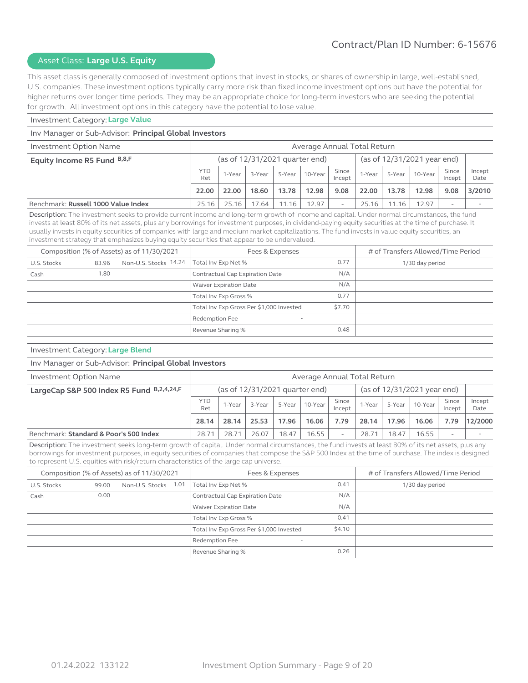# Asset Class: **Large U.S. Equity**

This asset class is generally composed of investment options that invest in stocks, or shares of ownership in large, well-established, U.S. companies. These investment options typically carry more risk than fixed income investment options but have the potential for higher returns over longer time periods. They may be an appropriate choice for long-term investors who are seeking the potential for growth. All investment options in this category have the potential to lose value.

#### Investment Category: **Large Value**

#### Inv Manager or Sub-Advisor: **Principal Global Investors**

| Investment Option Name              | Average Annual Total Return |                                                                 |        |          |         |                          |        |        |         |                 |                |
|-------------------------------------|-----------------------------|-----------------------------------------------------------------|--------|----------|---------|--------------------------|--------|--------|---------|-----------------|----------------|
| Equity Income R5 Fund B,8,F         |                             | (as of 12/31/2021 year end)<br>(as of $12/31/2021$ quarter end) |        |          |         |                          |        |        |         |                 |                |
|                                     | <b>YTD</b><br>Ret           | 1-Year                                                          | 3-Year | $5-Year$ | 10-Year | Since<br>Incept          | 1-Year | 5-Year | 10-Year | Since<br>Incept | Incept<br>Date |
|                                     | 22.00                       | 22.00                                                           | 18.60  | 13.78    | 12.98   | 9.08                     | 22.00  | 13.78  | 12.98   | 9.08            | 3/2010         |
| Benchmark: Russell 1000 Value Index | 25.16                       | 25.16                                                           | 7.64   | 11.16    | 12.97   | $\overline{\phantom{a}}$ | 25.16  | 11.16  | 12.97   |                 |                |

Description: The investment seeks to provide current income and long-term growth of income and capital. Under normal circumstances, the fund invests at least 80% of its net assets, plus any borrowings for investment purposes, in dividend-paying equity securities at the time of purchase. It usually invests in equity securities of companies with large and medium market capitalizations. The fund invests in value equity securities, an investment strategy that emphasizes buying equity securities that appear to be undervalued.

|             |       | Composition (% of Assets) as of 11/30/2021 | Fees & Expenses                            |        | # of Transfers Allowed/Time Period |
|-------------|-------|--------------------------------------------|--------------------------------------------|--------|------------------------------------|
| U.S. Stocks | 83.96 | Non-U.S. Stocks 14.24                      | Total Inv Exp Net %                        | 0.77   | 1/30 day period                    |
| Cash        | 1.80  |                                            | Contractual Cap Expiration Date            | N/A    |                                    |
|             |       |                                            | Waiver Expiration Date                     | N/A    |                                    |
|             |       |                                            | Total Inv Exp Gross %                      | 0.77   |                                    |
|             |       |                                            | Total Inv Exp Gross Per \$1,000 Invested   | \$7.70 |                                    |
|             |       |                                            | Redemption Fee<br>$\overline{\phantom{a}}$ |        |                                    |
|             |       |                                            | Revenue Sharing %                          | 0.48   |                                    |

#### Investment Category: **Large Blend**

#### Inv Manager or Sub-Advisor: **Principal Global Investors**

| Investment Option Name                    | Average Annual Total Return |                                                               |        |        |             |                 |        |        |         |                 |                |
|-------------------------------------------|-----------------------------|---------------------------------------------------------------|--------|--------|-------------|-----------------|--------|--------|---------|-----------------|----------------|
| LargeCap S&P 500 Index R5 Fund B,2,4,24,F |                             | (as of 12/31/2021 year end)<br>(as of 12/31/2021 quarter end) |        |        |             |                 |        |        |         |                 |                |
|                                           | <b>YTD</b><br>Ret           | 1-Year                                                        | 3-Year | 5-Year | $ 10-Year $ | Since<br>Incept | 1-Year | 5-Year | 10-Year | Since<br>Incept | Incept<br>Date |
|                                           | 28.14                       | 28.14                                                         | 25.53  | 17.96  | 16.06       | 7.79            | 28.14  | 17.96  | 16.06   | 7.79            | 12/2000        |
| Benchmark: Standard & Poor's 500 Index    | 28.71                       | 28.71                                                         | 26.07  | 18.47  | 16.55       |                 | 28.71  | 18.47  | 16.55   | ۰               |                |

Description: The investment seeks long-term growth of capital. Under normal circumstances, the fund invests at least 80% of its net assets, plus any borrowings for investment purposes, in equity securities of companies that compose the S&P 500 Index at the time of purchase. The index is designed to represent U.S. equities with risk/return characteristics of the large cap universe.

|             |       | Composition (% of Assets) as of 11/30/2021 |      | Fees & Expenses                            | # of Transfers Allowed/Time Period |                 |
|-------------|-------|--------------------------------------------|------|--------------------------------------------|------------------------------------|-----------------|
| U.S. Stocks | 99.00 | Non-U.S. Stocks                            | 1.01 | Total Inv Exp Net %                        | 0.41                               | 1/30 day period |
| Cash        | 0.00  |                                            |      | Contractual Cap Expiration Date            | N/A                                |                 |
|             |       |                                            |      | <b>Waiver Expiration Date</b>              | N/A                                |                 |
|             |       |                                            |      | Total Inv Exp Gross %                      | 0.41                               |                 |
|             |       |                                            |      | Total Inv Exp Gross Per \$1,000 Invested   | \$4.10                             |                 |
|             |       |                                            |      | Redemption Fee<br>$\overline{\phantom{a}}$ |                                    |                 |
|             |       |                                            |      | Revenue Sharing %                          | 0.26                               |                 |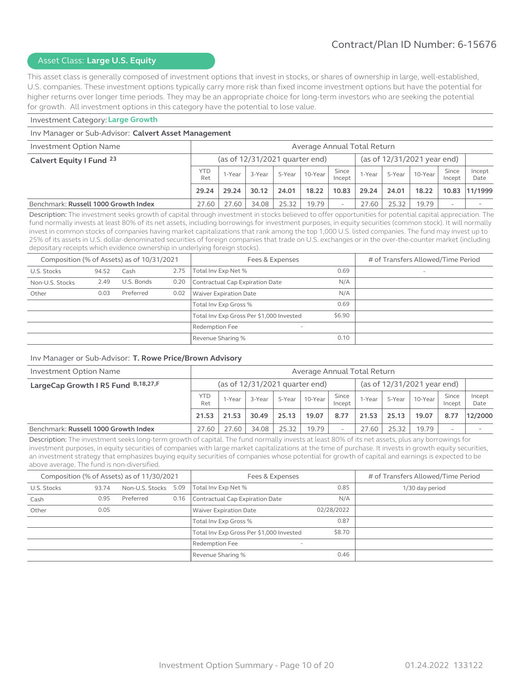# Asset Class: **Large U.S. Equity**

This asset class is generally composed of investment options that invest in stocks, or shares of ownership in large, well-established, U.S. companies. These investment options typically carry more risk than fixed income investment options but have the potential for higher returns over longer time periods. They may be an appropriate choice for long-term investors who are seeking the potential for growth. All investment options in this category have the potential to lose value.

#### Investment Category: **Large Growth**

#### Inv Manager or Sub-Advisor: **Calvert Asset Management**

| Investment Option Name               | Average Annual Total Return |                                                                   |        |        |         |                 |                    |        |         |                 |                |
|--------------------------------------|-----------------------------|-------------------------------------------------------------------|--------|--------|---------|-----------------|--------------------|--------|---------|-----------------|----------------|
| Calvert Equity I Fund 23             |                             | (as of $12/31/2021$ year end)<br>(as of $12/31/2021$ quarter end) |        |        |         |                 |                    |        |         |                 |                |
|                                      | <b>YTD</b><br>Ret           | 1-Year                                                            | 3-Year | 5-Year | 10-Year | Since<br>Incept | <sub>1</sub> -Year | 5-Year | 10-Year | Since<br>Incept | Incept<br>Date |
|                                      | 29.24                       | 29.24                                                             | 30.12  | 24.01  | 18.22   | 10.83           | 29.24              | 24.01  | 18.22   |                 | 10.83 11/1999  |
| Benchmark: Russell 1000 Growth Index | 27.60                       | 27.60                                                             | 34.08  | 25.32  | 19.79   |                 | 27.60              | 25.32  | 19.79   | -               |                |

Description: The investment seeks growth of capital through investment in stocks believed to offer opportunities for potential capital appreciation. The fund normally invests at least 80% of its net assets, including borrowings for investment purposes, in equity securities (common stock). It will normally invest in common stocks of companies having market capitalizations that rank among the top 1,000 U.S. listed companies. The fund may invest up to 25% of its assets in U.S. dollar-denominated securities of foreign companies that trade on U.S. exchanges or in the over-the-counter market (including depositary receipts which evidence ownership in underlying foreign stocks).

| Composition (% of Assets) as of 10/31/2021 |       |            |      | Fees & Expenses                            |        | # of Transfers Allowed/Time Period |
|--------------------------------------------|-------|------------|------|--------------------------------------------|--------|------------------------------------|
| U.S. Stocks                                | 94.52 | Cash       | 2.75 | Total Inv Exp Net %                        | 0.69   | $\overline{\phantom{a}}$           |
| Non-U.S. Stocks                            | 2.49  | U.S. Bonds | 0.20 | Contractual Cap Expiration Date            | N/A    |                                    |
| Other                                      | 0.03  | Preferred  | 0.02 | Waiver Expiration Date                     | N/A    |                                    |
|                                            |       |            |      | Total Inv Exp Gross %                      | 0.69   |                                    |
|                                            |       |            |      | Total Inv Exp Gross Per \$1,000 Invested   | \$6.90 |                                    |
|                                            |       |            |      | Redemption Fee<br>$\overline{\phantom{a}}$ |        |                                    |
|                                            |       |            |      | Revenue Sharing %                          | 0.10   |                                    |

#### Inv Manager or Sub-Advisor: **T. Rowe Price/Brown Advisory**

| Investment Option Name               | Average Annual Total Return |        |        |        |                                  |                 |        |        |                             |                 |                |
|--------------------------------------|-----------------------------|--------|--------|--------|----------------------------------|-----------------|--------|--------|-----------------------------|-----------------|----------------|
| LargeCap Growth I R5 Fund B,18,27,F  |                             |        |        |        | (as of $12/31/2021$ quarter end) |                 |        |        | (as of 12/31/2021 year end) |                 |                |
|                                      | <b>YTD</b><br>Ret           | 1-Year | 3-Year | 5-Year | 10-Year                          | Since<br>Incept | 1-Year | 5-Year | 10-Year                     | Since<br>Incept | Incept<br>Date |
|                                      | 21.53                       | 21.53  | 30.49  | 25.13  | 19.07                            | 8.77            | 21.53  | 25.13  | 19.07                       | 8.77            | 12/2000        |
| Benchmark: Russell 1000 Growth Index | 27.60                       | 27.60  | 34.08  | 25.32  | 19.79                            |                 | 27.60  | 25.32  | 19.79                       |                 |                |

Description: The investment seeks long-term growth of capital. The fund normally invests at least 80% of its net assets, plus any borrowings for investment purposes, in equity securities of companies with large market capitalizations at the time of purchase. It invests in growth equity securities, an investment strategy that emphasizes buying equity securities of companies whose potential for growth of capital and earnings is expected to be above average. The fund is non-diversified.

|             |       | Composition (% of Assets) as of 11/30/2021 |      | Fees & Expenses                            |            | # of Transfers Allowed/Time Period |
|-------------|-------|--------------------------------------------|------|--------------------------------------------|------------|------------------------------------|
| U.S. Stocks | 93.74 | Non-U.S. Stocks 5.09                       |      | Total Inv Exp Net %                        | 0.85       | 1/30 day period                    |
| Cash        | 0.95  | Preferred                                  | 0.16 | Contractual Cap Expiration Date            | N/A        |                                    |
| Other       | 0.05  |                                            |      | <b>Waiver Expiration Date</b>              | 02/28/2022 |                                    |
|             |       |                                            |      | Total Inv Exp Gross %                      | 0.87       |                                    |
|             |       |                                            |      | Total Inv Exp Gross Per \$1,000 Invested   | \$8.70     |                                    |
|             |       |                                            |      | Redemption Fee<br>$\overline{\phantom{a}}$ |            |                                    |
|             |       |                                            |      | Revenue Sharing %                          | 0.46       |                                    |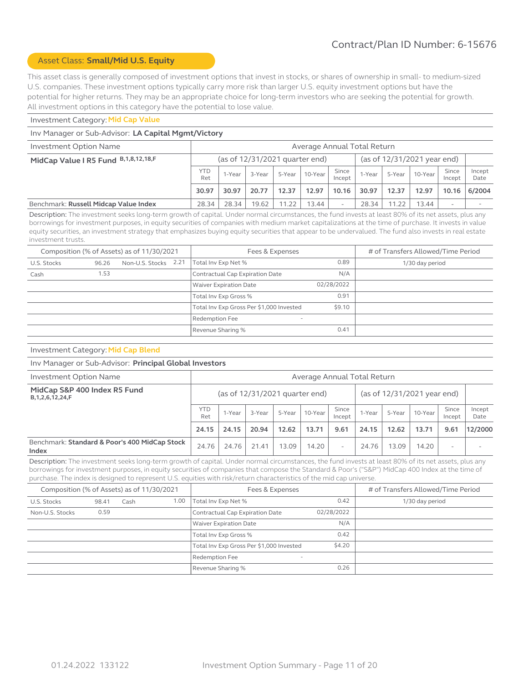# Asset Class: **Small/Mid U.S. Equity**

This asset class is generally composed of investment options that invest in stocks, or shares of ownership in small- to medium-sized U.S. companies. These investment options typically carry more risk than larger U.S. equity investment options but have the potential for higher returns. They may be an appropriate choice for long-term investors who are seeking the potential for growth. All investment options in this category have the potential to lose value.

#### Investment Category: **Mid Cap Value**

#### Inv Manager or Sub-Advisor: **LA Capital Mgmt/Victory**

| Investment Option Name                    | Average Annual Total Return |        |                                  |       |                |                          |        |                             |         |                 |                |
|-------------------------------------------|-----------------------------|--------|----------------------------------|-------|----------------|--------------------------|--------|-----------------------------|---------|-----------------|----------------|
| MidCap Value I R5 Fund B, 1, 8, 12, 18, F |                             |        | (as of $12/31/2021$ quarter end) |       |                |                          |        | (as of 12/31/2021 year end) |         |                 |                |
|                                           | <b>YTD</b><br>Ret           | 1-Year | 3-Year                           |       | 5-Year 10-Year | Since<br>Incept          | 1-Year | 5-Year                      | 10-Year | Since<br>Incept | Incept<br>Date |
|                                           | 30.97                       | 30.97  | 20.77                            | 12.37 | 12.97          | 10.16                    | 30.97  | 12.37                       | 12.97   | 10.16           | 6/2004         |
| Benchmark: Russell Midcap Value Index     | 28.34                       | 28.34  | 19.62                            | 11.22 | 13.44          | $\overline{\phantom{a}}$ | 28.34  | 11.22                       | 13.44   |                 |                |

Description: The investment seeks long-term growth of capital. Under normal circumstances, the fund invests at least 80% of its net assets, plus any borrowings for investment purposes, in equity securities of companies with medium market capitalizations at the time of purchase. It invests in value equity securities, an investment strategy that emphasizes buying equity securities that appear to be undervalued. The fund also invests in real estate investment trusts.

|             |       | Composition (% of Assets) as of 11/30/2021 | Fees & Expenses                            | # of Transfers Allowed/Time Period |                 |
|-------------|-------|--------------------------------------------|--------------------------------------------|------------------------------------|-----------------|
| U.S. Stocks | 96.26 | Non-U.S. Stocks 2.21                       | Total Inv Exp Net %                        | 0.89                               | 1/30 day period |
| Cash        | 1.53  |                                            | Contractual Cap Expiration Date            | N/A                                |                 |
|             |       |                                            | Waiver Expiration Date                     | 02/28/2022                         |                 |
|             |       |                                            | Total Inv Exp Gross %                      | 0.91                               |                 |
|             |       |                                            | Total Inv Exp Gross Per \$1,000 Invested   | \$9.10                             |                 |
|             |       |                                            | Redemption Fee<br>$\overline{\phantom{a}}$ |                                    |                 |
|             |       |                                            | Revenue Sharing %                          | 0.41                               |                 |

#### Investment Category: **Mid Cap Blend**

#### Inv Manager or Sub-Advisor: **Principal Global Investors**

| Investment Option Name                                 | Average Annual Total Return |                                                                 |        |        |         |                          |        |        |         |                 |                |
|--------------------------------------------------------|-----------------------------|-----------------------------------------------------------------|--------|--------|---------|--------------------------|--------|--------|---------|-----------------|----------------|
| MidCap S&P 400 Index R5 Fund<br>B, 1, 2, 6, 12, 24, F  |                             | (as of 12/31/2021 year end)<br>(as of $12/31/2021$ quarter end) |        |        |         |                          |        |        |         |                 |                |
|                                                        | <b>YTD</b><br>Ret           | 1-Year                                                          | 3-Year | 5-Year | 10-Year | Since<br>Incept          | 1-Year | 5-Year | 10-Year | Since<br>Incept | Incept<br>Date |
|                                                        | 24.15                       | 24.15                                                           | 20.94  | 12.62  | 13.71   | 9.61                     | 24.15  | 12.62  | 13.71   | 9.61            | 12/2000        |
| Benchmark: Standard & Poor's 400 MidCap Stock<br>Index | 24.76                       | 24.76                                                           | 21.41  | 13.09  | 14.20   | $\overline{\phantom{0}}$ | 24.76  | 13.09  | 14.20   | ۰               |                |

Description: The investment seeks long-term growth of capital. Under normal circumstances, the fund invests at least 80% of its net assets, plus any borrowings for investment purposes, in equity securities of companies that compose the Standard & Poor's ("S&P") MidCap 400 Index at the time of purchase. The index is designed to represent U.S. equities with risk/return characteristics of the mid cap universe.

| Composition (% of Assets) as of 11/30/2021 |       |      |      | Fees & Expenses                          |            | # of Transfers Allowed/Time Period |
|--------------------------------------------|-------|------|------|------------------------------------------|------------|------------------------------------|
| U.S. Stocks                                | 98.41 | Cash | 1.00 | Total Inv Exp Net %                      | 0.42       | 1/30 day period                    |
| Non-U.S. Stocks                            | 0.59  |      |      | Contractual Cap Expiration Date          | 02/28/2022 |                                    |
|                                            |       |      |      | <b>Waiver Expiration Date</b>            | N/A        |                                    |
|                                            |       |      |      | Total Inv Exp Gross %                    | 0.42       |                                    |
|                                            |       |      |      | Total Inv Exp Gross Per \$1,000 Invested | \$4.20     |                                    |
|                                            |       |      |      | Redemption Fee<br>-                      |            |                                    |
|                                            |       |      |      | Revenue Sharing %                        | 0.26       |                                    |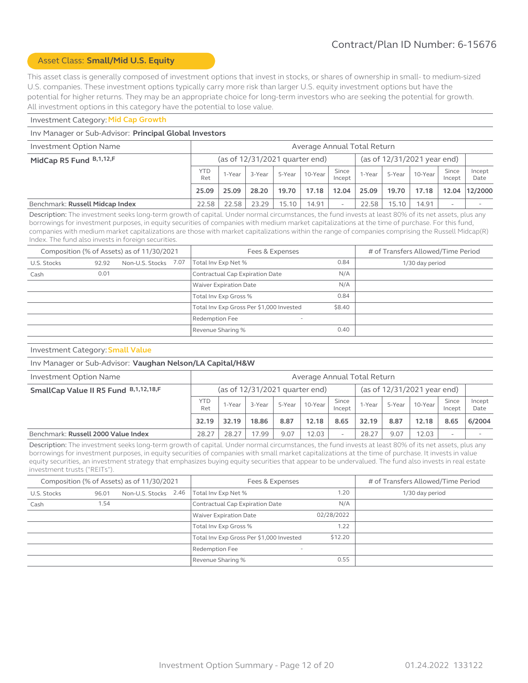# Asset Class: **Small/Mid U.S. Equity**

This asset class is generally composed of investment options that invest in stocks, or shares of ownership in small- to medium-sized U.S. companies. These investment options typically carry more risk than larger U.S. equity investment options but have the potential for higher returns. They may be an appropriate choice for long-term investors who are seeking the potential for growth. All investment options in this category have the potential to lose value.

#### Investment Category: **Mid Cap Growth**

#### Inv Manager or Sub-Advisor: **Principal Global Investors**

| Investment Option Name          |                   | Average Annual Total Return |        |        |                                |                          |        |        |                               |                          |                |  |
|---------------------------------|-------------------|-----------------------------|--------|--------|--------------------------------|--------------------------|--------|--------|-------------------------------|--------------------------|----------------|--|
| MidCap R5 Fund B, 1, 12, F      |                   |                             |        |        | (as of 12/31/2021 quarter end) |                          |        |        | (as of $12/31/2021$ year end) |                          |                |  |
|                                 | <b>YTD</b><br>Ret | 1-Year                      | 3-Year | 5-Year | 10-Year                        | Since<br>Incept          | 1-Year | 5-Year | 10-Year                       | Since<br>Incept          | Incept<br>Date |  |
|                                 | 25.09             | 25.09                       | 28.20  | 19.70  | 17.18                          | 12.04                    | 25.09  | 19.70  | 17.18                         | 12.04                    | 12/2000        |  |
| Benchmark: Russell Midcap Index | 22.58             | 22.58                       | 23.29  | 15.10  | 14.91                          | $\overline{\phantom{a}}$ | 22.58  | 15.10  | 14.91                         | $\overline{\phantom{a}}$ |                |  |

Description: The investment seeks long-term growth of capital. Under normal circumstances, the fund invests at least 80% of its net assets, plus any borrowings for investment purposes, in equity securities of companies with medium market capitalizations at the time of purchase. For this fund, companies with medium market capitalizations are those with market capitalizations within the range of companies comprising the Russell Midcap(R) Index. The fund also invests in foreign securities.

|             |       | Composition (% of Assets) as of 11/30/2021 | Fees & Expenses                            |        | # of Transfers Allowed/Time Period |
|-------------|-------|--------------------------------------------|--------------------------------------------|--------|------------------------------------|
| U.S. Stocks | 92.92 | Non-U.S. Stocks 7.07                       | Total Inv Exp Net %                        | 0.84   | 1/30 day period                    |
| Cash        | 0.01  |                                            | Contractual Cap Expiration Date            | N/A    |                                    |
|             |       |                                            | <b>Waiver Expiration Date</b>              | N/A    |                                    |
|             |       |                                            | Total Inv Exp Gross %                      | 0.84   |                                    |
|             |       |                                            | Total Inv Exp Gross Per \$1,000 Invested   | \$8.40 |                                    |
|             |       |                                            | Redemption Fee<br>$\overline{\phantom{a}}$ |        |                                    |
|             |       |                                            | Revenue Sharing %                          | 0.40   |                                    |

#### Investment Category: **Small Value**

#### Inv Manager or Sub-Advisor: **Vaughan Nelson/LA Capital/H&W**

| Average Annual Total Return<br>Investment Option Name |                   |                                                                 |        |        |         |                          |        |        |         |                 |                |
|-------------------------------------------------------|-------------------|-----------------------------------------------------------------|--------|--------|---------|--------------------------|--------|--------|---------|-----------------|----------------|
| SmallCap Value II R5 Fund B, 1, 12, 18, F             |                   | (as of 12/31/2021 year end)<br>(as of $12/31/2021$ quarter end) |        |        |         |                          |        |        |         |                 |                |
|                                                       | <b>YTD</b><br>Ret | 1-Year                                                          | 3-Year | 5-Year | 10-Year | Since<br>Incept          | 1-Year | 5-Year | 10-Year | Since<br>Incept | Incept<br>Date |
|                                                       | 32.19             | 32.19                                                           | 18.86  | 8.87   | 12.18   | 8.65                     | 32.19  | 8.87   | 12.18   | 8.65            | 6/2004         |
| Benchmark: Russell 2000 Value Index                   | 28.27             | 28.27                                                           | 17.99  | 9.07   | 12.03   | $\overline{\phantom{a}}$ | 28.27  | 9.07   | 12.03   |                 |                |

Description: The investment seeks long-term growth of capital. Under normal circumstances, the fund invests at least 80% of its net assets, plus any borrowings for investment purposes, in equity securities of companies with small market capitalizations at the time of purchase. It invests in value equity securities, an investment strategy that emphasizes buying equity securities that appear to be undervalued. The fund also invests in real estate investment trusts ("REITs").

|             |       | Composition (% of Assets) as of 11/30/2021 | Fees & Expenses                            |            | # of Transfers Allowed/Time Period |
|-------------|-------|--------------------------------------------|--------------------------------------------|------------|------------------------------------|
| U.S. Stocks | 96.01 | Non-U.S. Stocks 2.46                       | Total Inv Exp Net %                        | 1.20       | 1/30 day period                    |
| Cash        | 1.54  |                                            | Contractual Cap Expiration Date            | N/A        |                                    |
|             |       |                                            | <b>Waiver Expiration Date</b>              | 02/28/2022 |                                    |
|             |       |                                            | Total Inv Exp Gross %                      | 1.22       |                                    |
|             |       |                                            | Total Inv Exp Gross Per \$1,000 Invested   | \$12.20    |                                    |
|             |       |                                            | Redemption Fee<br>$\overline{\phantom{a}}$ |            |                                    |
|             |       |                                            | Revenue Sharing %                          | 0.55       |                                    |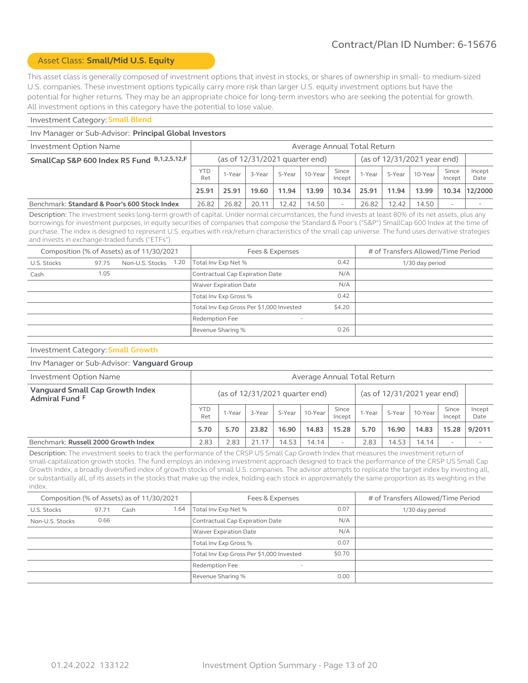# Asset Class: **Small/Mid U.S. Equity**

This asset class is generally composed of investment options that invest in stocks, or shares of ownership in small- to medium-sized U.S. companies. These investment options typically carry more risk than larger U.S. equity investment options but have the potential for higher returns. They may be an appropriate choice for long-term investors who are seeking the potential for growth. All investment options in this category have the potential to lose value.

#### Investment Category: **Small Blend**

#### Inv Manager or Sub-Advisor: **Principal Global Investors**

| Investment Option Name                       | Average Annual Total Return |                                                               |        |        |             |                 |        |        |         |                          |                |
|----------------------------------------------|-----------------------------|---------------------------------------------------------------|--------|--------|-------------|-----------------|--------|--------|---------|--------------------------|----------------|
| SmallCap S&P 600 Index R5 Fund B,1,2,5,12,F  |                             | (as of 12/31/2021 year end)<br>(as of 12/31/2021 quarter end) |        |        |             |                 |        |        |         |                          |                |
|                                              | <b>YTD</b><br>Ret           | 1-Year                                                        | 3-Year | 5-Year | $ 10-Year $ | Since<br>Incept | 1-Year | 5-Year | 10-Year | Since<br>Incept          | Incept<br>Date |
|                                              | 25.91                       | 25.91                                                         | 19.60  | 11.94  | 13.99       | 10.34           | 25.91  | 11.94  | 13.99   |                          | 10.34 12/2000  |
| Benchmark: Standard & Poor's 600 Stock Index | 26.82                       | 26.82                                                         | 20.11  | 12.42  | 14.50       |                 | 26.82  | 12.42  | 14.50   | $\overline{\phantom{a}}$ |                |

Description: The investment seeks long-term growth of capital. Under normal circumstances, the fund invests at least 80% of its net assets, plus any borrowings for investment purposes, in equity securities of companies that compose the Standard & Poor's ("S&P") SmallCap 600 Index at the time of purchase. The index is designed to represent U.S. equities with risk/return characteristics of the small cap universe. The fund uses derivative strategies and invests in exchange-traded funds ("ETFs").

|             |       | Composition (% of Assets) as of 11/30/2021 | Fees & Expenses                            |        | # of Transfers Allowed/Time Period |
|-------------|-------|--------------------------------------------|--------------------------------------------|--------|------------------------------------|
| U.S. Stocks | 97.75 | Non-U.S. Stocks 1.20                       | Total Inv Exp Net %                        | 0.42   | 1/30 day period                    |
| Cash        | 1.05  |                                            | Contractual Cap Expiration Date            | N/A    |                                    |
|             |       |                                            | Waiver Expiration Date                     | N/A    |                                    |
|             |       |                                            | Total Inv Exp Gross %                      | 0.42   |                                    |
|             |       |                                            | Total Inv Exp Gross Per \$1,000 Invested   | \$4.20 |                                    |
|             |       |                                            | Redemption Fee<br>$\overline{\phantom{a}}$ |        |                                    |
|             |       |                                            | Revenue Sharing %                          | 0.26   |                                    |

#### Investment Category: **Small Growth**

#### Inv Manager or Sub-Advisor: **Vanguard Group**

| Investment Option Name                            |                   | Average Annual Total Return                                     |        |        |         |                          |        |        |         |                 |                |  |
|---------------------------------------------------|-------------------|-----------------------------------------------------------------|--------|--------|---------|--------------------------|--------|--------|---------|-----------------|----------------|--|
| Vanguard Small Cap Growth Index<br>Admiral Fund F |                   | (as of $12/31/2021$ quarter end)<br>(as of 12/31/2021 year end) |        |        |         |                          |        |        |         |                 |                |  |
|                                                   | <b>YTD</b><br>Ret | 1-Year                                                          | 3-Year | 5-Year | 10-Year | Since<br>Incept          | I-Year | 5-Year | 10-Year | Since<br>Incept | Incept<br>Date |  |
|                                                   | 5.70              | 5.70                                                            | 23.82  | 16.90  | 14.83   | 15.28                    | 5.70   | 16.90  | 14.83   | 15.28           | 9/2011         |  |
| Benchmark: Russell 2000 Growth Index              | 2.83              | 2.83                                                            | 21.17  | 14.53  | 14.14   | $\overline{\phantom{0}}$ | 2.83   | 14.53  | 14.14   |                 |                |  |

Description: The investment seeks to track the performance of the CRSP US Small Cap Growth Index that measures the investment return of small-capitalization growth stocks. The fund employs an indexing investment approach designed to track the performance of the CRSP US Small Cap Growth Index, a broadly diversified index of growth stocks of small U.S. companies. The advisor attempts to replicate the target index by investing all, or substantially all, of its assets in the stocks that make up the index, holding each stock in approximately the same proportion as its weighting in the index.

| Composition (% of Assets) as of 11/30/2021 |       |      |      | Fees & Expenses                          |        | # of Transfers Allowed/Time Period |
|--------------------------------------------|-------|------|------|------------------------------------------|--------|------------------------------------|
| U.S. Stocks                                | 97.71 | Cash | 1.64 | Total Inv Exp Net %                      | 0.07   | 1/30 day period                    |
| Non-U.S. Stocks                            | 0.66  |      |      | Contractual Cap Expiration Date          | N/A    |                                    |
|                                            |       |      |      | Waiver Expiration Date                   | N/A    |                                    |
|                                            |       |      |      | Total Inv Exp Gross %                    | 0.07   |                                    |
|                                            |       |      |      | Total Inv Exp Gross Per \$1,000 Invested | \$0.70 |                                    |
|                                            |       |      |      | Redemption Fee<br>-                      |        |                                    |
|                                            |       |      |      | Revenue Sharing %                        | 0.00   |                                    |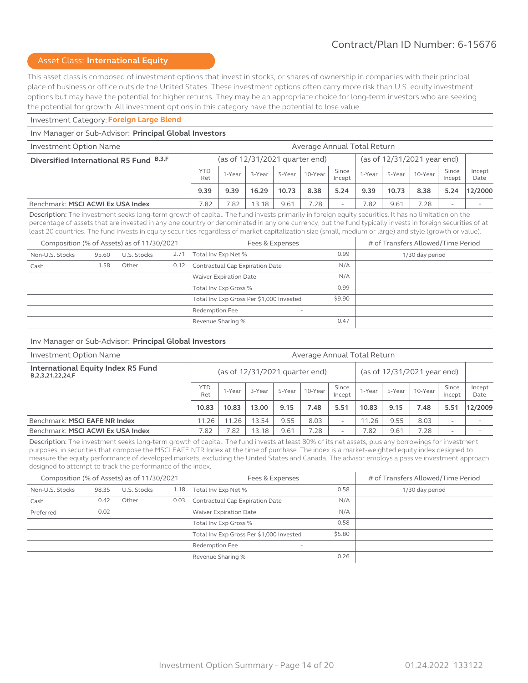# Asset Class: **International Equity**

This asset class is composed of investment options that invest in stocks, or shares of ownership in companies with their principal place of business or office outside the United States. These investment options often carry more risk than U.S. equity investment options but may have the potential for higher returns. They may be an appropriate choice for long-term investors who are seeking the potential for growth. All investment options in this category have the potential to lose value.

#### Investment Category: **Foreign Large Blend**

#### Inv Manager or Sub-Advisor: **Principal Global Investors**

| Investment Option Name                  | Average Annual Total Return |        |        |        |                                |                          |        |        |                             |                 |                |
|-----------------------------------------|-----------------------------|--------|--------|--------|--------------------------------|--------------------------|--------|--------|-----------------------------|-----------------|----------------|
| Diversified International R5 Fund B,3,F |                             |        |        |        | (as of 12/31/2021 quarter end) |                          |        |        | (as of 12/31/2021 year end) |                 |                |
|                                         | <b>YTD</b><br>Ret           | 1-Year | 3-Year | 5-Year | 10-Year                        | Since<br>Incept          | 1-Year | 5-Year | 10-Year                     | Since<br>Incept | Incept<br>Date |
|                                         | 9.39                        | 9.39   | 16.29  | 10.73  | 8.38                           | 5.24                     | 9.39   | 10.73  | 8.38                        | 5.24            | 12/2000        |
| Benchmark: MSCI ACWI Ex USA Index       | '.82                        | .82    | 13.18  | 9.61   | 7.28                           | $\overline{\phantom{a}}$ | 7.82   | 9.61   | 7.28                        | <b>.</b>        |                |

Description: The investment seeks long-term growth of capital. The fund invests primarily in foreign equity securities. It has no limitation on the percentage of assets that are invested in any one country or denominated in any one currency, but the fund typically invests in foreign securities of at least 20 countries. The fund invests in equity securities regardless of market capitalization size (small, medium or large) and style (growth or value).

|                 |       | Composition (% of Assets) as of 11/30/2021 |      | Fees & Expenses                                   |        | # of Transfers Allowed/Time Period |
|-----------------|-------|--------------------------------------------|------|---------------------------------------------------|--------|------------------------------------|
| Non-U.S. Stocks | 95.60 | U.S. Stocks                                | 2.71 | Total Inv Exp Net %                               | 0.99   | 1/30 day period                    |
| Cash            | 1.58  | Other                                      | 0.12 | Contractual Cap Expiration Date                   | N/A    |                                    |
|                 |       |                                            |      | <b>Waiver Expiration Date</b>                     | N/A    |                                    |
|                 |       |                                            |      | Total Inv Exp Gross %                             | 0.99   |                                    |
|                 |       |                                            |      | Total Inv Exp Gross Per \$1,000 Invested          | \$9.90 |                                    |
|                 |       |                                            |      | <b>Redemption Fee</b><br>$\overline{\phantom{a}}$ |        |                                    |
|                 |       |                                            |      | Revenue Sharing %                                 | 0.47   |                                    |

#### Inv Manager or Sub-Advisor: **Principal Global Investors**

| <b>Investment Option Name</b>                                | Average Annual Total Return                                   |        |        |        |         |                          |        |        |                            |                          |                |
|--------------------------------------------------------------|---------------------------------------------------------------|--------|--------|--------|---------|--------------------------|--------|--------|----------------------------|--------------------------|----------------|
| International Equity Index R5 Fund<br>B, 2, 3, 21, 22, 24, F | (as of 12/31/2021 year end)<br>(as of 12/31/2021 quarter end) |        |        |        |         |                          |        |        |                            |                          |                |
|                                                              | <b>YTD</b><br>Ret                                             | 1-Year | 3-Year | 5-Year | 10-Year | Since<br>Incept          | 1-Year | 5-Year | Since<br>10-Year<br>Incept |                          | Incept<br>Date |
|                                                              | 10.83                                                         | 10.83  | 13.00  | 9.15   | 7.48    | 5.51                     | 10.83  | 9.15   | 7.48                       | 5.51                     | 12/2009        |
| Benchmark: MSCI EAFE NR Index                                | 11.26                                                         | 11.26  | 13.54  | 9.55   | 8.03    | $\overline{\phantom{a}}$ | 11.26  | 9.55   | 8.03                       | $\overline{\phantom{0}}$ |                |
| Benchmark: MSCI ACWI Ex USA Index                            | 7.82                                                          | 7.82   | 13.18  | 9.61   | 7.28    | $\overline{\phantom{0}}$ | 7.82   | 9.61   | 7.28                       | $\overline{\phantom{0}}$ |                |

Description: The investment seeks long-term growth of capital. The fund invests at least 80% of its net assets, plus any borrowings for investment purposes, in securities that compose the MSCI EAFE NTR Index at the time of purchase. The index is a market-weighted equity index designed to measure the equity performance of developed markets, excluding the United States and Canada. The advisor employs a passive investment approach designed to attempt to track the performance of the index.

| Composition (% of Assets) as of 11/30/2021 |       |             |      | Fees & Expenses                                   |        | # of Transfers Allowed/Time Period |
|--------------------------------------------|-------|-------------|------|---------------------------------------------------|--------|------------------------------------|
| Non-U.S. Stocks                            | 98.35 | U.S. Stocks | 1.18 | Total Inv Exp Net %                               | 0.58   | 1/30 day period                    |
| Cash                                       | 0.42  | Other       | 0.03 | Contractual Cap Expiration Date                   | N/A    |                                    |
| Preferred                                  | 0.02  |             |      | <b>Waiver Expiration Date</b>                     | N/A    |                                    |
|                                            |       |             |      | Total Inv Exp Gross %                             | 0.58   |                                    |
|                                            |       |             |      | Total Inv Exp Gross Per \$1,000 Invested          | \$5.80 |                                    |
|                                            |       |             |      | <b>Redemption Fee</b><br>$\overline{\phantom{a}}$ |        |                                    |
|                                            |       |             |      | Revenue Sharing %                                 | 0.26   |                                    |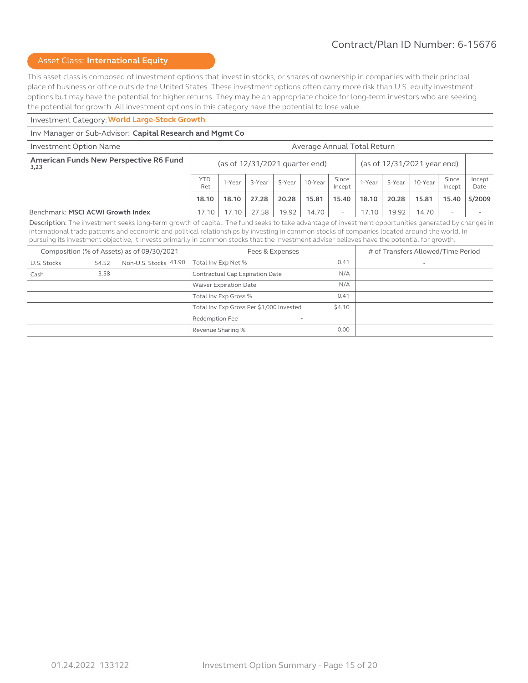# Asset Class: **International Equity**

This asset class is composed of investment options that invest in stocks, or shares of ownership in companies with their principal place of business or office outside the United States. These investment options often carry more risk than U.S. equity investment options but may have the potential for higher returns. They may be an appropriate choice for long-term investors who are seeking the potential for growth. All investment options in this category have the potential to lose value.

# Investment Category: **World Large-Stock Growth**

#### Inv Manager or Sub-Advisor: **Capital Research and Mgmt Co**

| Investment Option Name                                                                                                                              | Average Annual Total Return |                                                                               |        |        |         |                          |        |        |         |                 |                |
|-----------------------------------------------------------------------------------------------------------------------------------------------------|-----------------------------|-------------------------------------------------------------------------------|--------|--------|---------|--------------------------|--------|--------|---------|-----------------|----------------|
| American Funds New Perspective R6 Fund<br>3,23                                                                                                      |                             | (as of $12/31/2021$ quarter end)<br>(as of $12/31/2021$ year end)             |        |        |         |                          |        |        |         |                 |                |
|                                                                                                                                                     | <b>YTD</b><br>Ret           | 1-Year                                                                        | 3-Year | 5-Year | 10-Year | Since<br>Incept          | 1-Year | 5-Year | 10-Year | Since<br>Incept | Incept<br>Date |
|                                                                                                                                                     | 18.10                       | 15.81<br>15.40<br>18.10<br>27.28<br>20.28<br>20.28<br>18.10<br>15.81<br>15.40 |        |        |         |                          |        |        |         | 5/2009          |                |
| Benchmark: MSCI ACWI Growth Index                                                                                                                   | 17.10                       | 17.10                                                                         | 27.58  | 19.92  | 14.70   | $\overline{\phantom{0}}$ | 17.10  | 19.92  | 14.70   |                 |                |
| Deceription: The investment coole lang term arouth of capital. The fund coolete tales alumntage of investment eppertunities appearand by changes in |                             |                                                                               |        |        |         |                          |        |        |         |                 |                |

Description: The investment seeks long-term growth of capital. The fund seeks to take advantage of investment opportunities generated by changes in international trade patterns and economic and political relationships by investing in common stocks of companies located around the world. In pursuing its investment objective, it invests primarily in common stocks that the investment adviser believes have the potential for growth.

| Composition (% of Assets) as of 09/30/2021 |       |                       | Fees & Expenses                            |        | # of Transfers Allowed/Time Period |
|--------------------------------------------|-------|-----------------------|--------------------------------------------|--------|------------------------------------|
| U.S. Stocks                                | 54.52 | Non-U.S. Stocks 41.90 | Total Inv Exp Net %                        | 0.41   |                                    |
| Cash                                       | 3.58  |                       | Contractual Cap Expiration Date            | N/A    |                                    |
|                                            |       |                       | <b>Waiver Expiration Date</b>              | N/A    |                                    |
|                                            |       |                       | Total Inv Exp Gross %                      | 0.41   |                                    |
|                                            |       |                       | Total Inv Exp Gross Per \$1,000 Invested   | \$4.10 |                                    |
|                                            |       |                       | Redemption Fee<br>$\overline{\phantom{a}}$ |        |                                    |
|                                            |       |                       | Revenue Sharing %                          | 0.00   |                                    |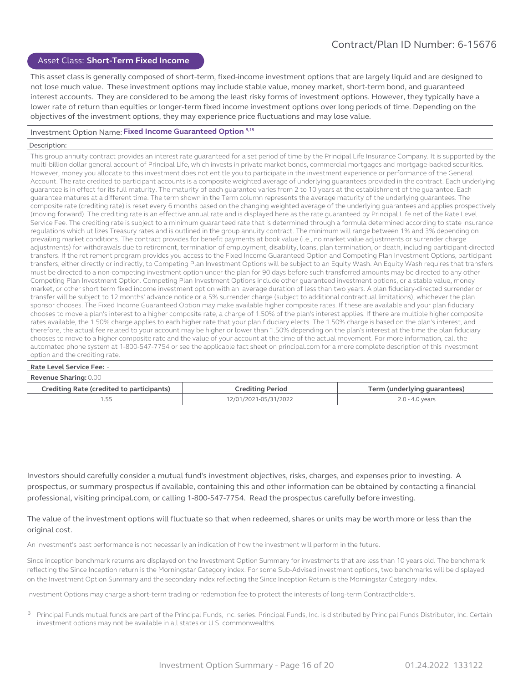#### Asset Class: **Short-Term Fixed Income**

This asset class is generally composed of short-term, fixed-income investment options that are largely liquid and are designed to not lose much value. These investment options may include stable value, money market, short-term bond, and guaranteed interest accounts. They are considered to be among the least risky forms of investment options. However, they typically have a lower rate of return than equities or longer-term fixed income investment options over long periods of time. Depending on the objectives of the investment options, they may experience price fluctuations and may lose value.

#### Investment Option Name: **Fixed Income Guaranteed Option 9,15**

#### Description:

This group annuity contract provides an interest rate guaranteed for a set period of time by the Principal Life Insurance Company. It is supported by the multi-billion dollar general account of Principal Life, which invests in private market bonds, commercial mortgages and mortgage-backed securities. However, money you allocate to this investment does not entitle you to participate in the investment experience or performance of the General Account. The rate credited to participant accounts is a composite weighted average of underlying guarantees provided in the contract. Each underlying guarantee is in effect for its full maturity. The maturity of each guarantee varies from 2 to 10 years at the establishment of the guarantee. Each guarantee matures at a different time. The term shown in the Term column represents the average maturity of the underlying guarantees. The composite rate (crediting rate) is reset every 6 months based on the changing weighted average of the underlying guarantees and applies prospectively (moving forward). The crediting rate is an effective annual rate and is displayed here as the rate guaranteed by Principal Life net of the Rate Level Service Fee. The crediting rate is subject to a minimum guaranteed rate that is determined through a formula determined according to state insurance regulations which utilizes Treasury rates and is outlined in the group annuity contract. The minimum will range between 1% and 3% depending on prevailing market conditions. The contract provides for benefit payments at book value (i.e., no market value adjustments or surrender charge adjustments) for withdrawals due to retirement, termination of employment, disability, loans, plan termination, or death, including participant-directed transfers. If the retirement program provides you access to the Fixed Income Guaranteed Option and Competing Plan Investment Options, participant transfers, either directly or indirectly, to Competing Plan Investment Options will be subject to an Equity Wash. An Equity Wash requires that transfers must be directed to a non-competing investment option under the plan for 90 days before such transferred amounts may be directed to any other Competing Plan Investment Option. Competing Plan Investment Options include other guaranteed investment options, or a stable value, money market, or other short term fixed income investment option with an average duration of less than two years. A plan fiduciary-directed surrender or transfer will be subject to 12 months' advance notice or a 5% surrender charge (subject to additional contractual limitations), whichever the plan sponsor chooses. The Fixed Income Guaranteed Option may make available higher composite rates. If these are available and your plan fiduciary chooses to move a plan's interest to a higher composite rate, a charge of 1.50% of the plan's interest applies. If there are multiple higher composite rates available, the 1.50% charge applies to each higher rate that your plan fiduciary elects. The 1.50% charge is based on the plan's interest, and therefore, the actual fee related to your account may be higher or lower than 1.50% depending on the plan's interest at the time the plan fiduciary chooses to move to a higher composite rate and the value of your account at the time of the actual movement. For more information, call the automated phone system at 1-800-547-7754 or see the applicable fact sheet on principal.com for a more complete description of this investment option and the crediting rate.

#### **Rate Level Service Fee:** -

#### **Revenue Sharing:** 0.00

| Crediting Rate (credited to participants) | Crediting Period      | Term (underlying guarantees) |
|-------------------------------------------|-----------------------|------------------------------|
|                                           | 12/01/2021-05/31/2022 | 2.0 - 4.0 years              |

Investors should carefully consider a mutual fund's investment objectives, risks, charges, and expenses prior to investing. A prospectus, or summary prospectus if available, containing this and other information can be obtained by contacting a financial professional, visiting principal.com, or calling 1-800-547-7754. Read the prospectus carefully before investing.

#### The value of the investment options will fluctuate so that when redeemed, shares or units may be worth more or less than the original cost.

An investment's past performance is not necessarily an indication of how the investment will perform in the future.

Since inception benchmark returns are displayed on the Investment Option Summary for investments that are less than 10 years old. The benchmark reflecting the Since Inception return is the Morningstar Category index. For some Sub-Advised investment options, two benchmarks will be displayed on the Investment Option Summary and the secondary index reflecting the Since Inception Return is the Morningstar Category index.

Investment Options may charge a short-term trading or redemption fee to protect the interests of long-term Contractholders.

B Principal Funds mutual funds are part of the Principal Funds, Inc. series. Principal Funds, Inc. is distributed by Principal Funds Distributor, Inc. Certain investment options may not be available in all states or U.S. commonwealths.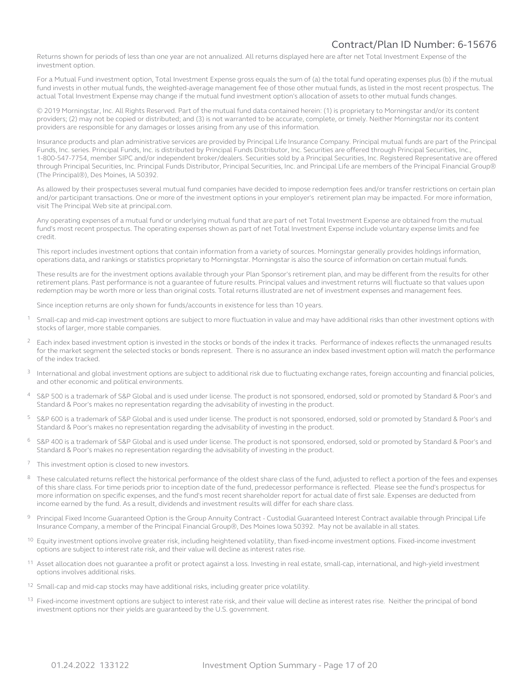Returns shown for periods of less than one year are not annualized. All returns displayed here are after net Total Investment Expense of the investment option.

For a Mutual Fund investment option, Total Investment Expense gross equals the sum of (a) the total fund operating expenses plus (b) if the mutual fund invests in other mutual funds, the weighted-average management fee of those other mutual funds, as listed in the most recent prospectus. The actual Total Investment Expense may change if the mutual fund investment option's allocation of assets to other mutual funds changes.

© 2019 Morningstar, Inc. All Rights Reserved. Part of the mutual fund data contained herein: (1) is proprietary to Morningstar and/or its content providers; (2) may not be copied or distributed; and (3) is not warranted to be accurate, complete, or timely. Neither Morningstar nor its content providers are responsible for any damages or losses arising from any use of this information.

Insurance products and plan administrative services are provided by Principal Life Insurance Company. Principal mutual funds are part of the Principal Funds, Inc. series. Principal Funds, Inc. is distributed by Principal Funds Distributor, Inc. Securities are offered through Principal Securities, Inc., 1-800-547-7754, member SIPC and/or independent broker/dealers. Securities sold by a Principal Securities, Inc. Registered Representative are offered through Principal Securities, Inc. Principal Funds Distributor, Principal Securities, Inc. and Principal Life are members of the Principal Financial Group® (The Principal®), Des Moines, IA 50392.

As allowed by their prospectuses several mutual fund companies have decided to impose redemption fees and/or transfer restrictions on certain plan and/or participant transactions. One or more of the investment options in your employer's retirement plan may be impacted. For more information, visit The Principal Web site at principal.com.

Any operating expenses of a mutual fund or underlying mutual fund that are part of net Total Investment Expense are obtained from the mutual fund's most recent prospectus. The operating expenses shown as part of net Total Investment Expense include voluntary expense limits and fee credit.

This report includes investment options that contain information from a variety of sources. Morningstar generally provides holdings information, operations data, and rankings or statistics proprietary to Morningstar. Morningstar is also the source of information on certain mutual funds.

These results are for the investment options available through your Plan Sponsor's retirement plan, and may be different from the results for other retirement plans. Past performance is not a guarantee of future results. Principal values and investment returns will fluctuate so that values upon redemption may be worth more or less than original costs. Total returns illustrated are net of investment expenses and management fees.

Since inception returns are only shown for funds/accounts in existence for less than 10 years.

- <sup>1</sup> Small-cap and mid-cap investment options are subject to more fluctuation in value and may have additional risks than other investment options with stocks of larger, more stable companies.
- <sup>2</sup> Each index based investment option is invested in the stocks or bonds of the index it tracks. Performance of indexes reflects the unmanaged results for the market segment the selected stocks or bonds represent. There is no assurance an index based investment option will match the performance of the index tracked.
- <sup>3</sup> International and global investment options are subject to additional risk due to fluctuating exchange rates, foreign accounting and financial policies, and other economic and political environments.
- <sup>4</sup> S&P 500 is a trademark of S&P Global and is used under license. The product is not sponsored, endorsed, sold or promoted by Standard & Poor's and Standard & Poor's makes no representation regarding the advisability of investing in the product.
- <sup>5</sup> S&P 600 is a trademark of S&P Global and is used under license. The product is not sponsored, endorsed, sold or promoted by Standard & Poor's and Standard & Poor's makes no representation regarding the advisability of investing in the product.
- <sup>6</sup> S&P 400 is a trademark of S&P Global and is used under license. The product is not sponsored, endorsed, sold or promoted by Standard & Poor's and Standard & Poor's makes no representation regarding the advisability of investing in the product.
- This investment option is closed to new investors.
- <sup>8</sup> These calculated returns reflect the historical performance of the oldest share class of the fund, adjusted to reflect a portion of the fees and expenses of this share class. For time periods prior to inception date of the fund, predecessor performance is reflected. Please see the fund's prospectus for more information on specific expenses, and the fund's most recent shareholder report for actual date of first sale. Expenses are deducted from income earned by the fund. As a result, dividends and investment results will differ for each share class.
- 9 Principal Fixed Income Guaranteed Option is the Group Annuity Contract Custodial Guaranteed Interest Contract available through Principal Life Insurance Company, a member of the Principal Financial Group®, Des Moines Iowa 50392. May not be available in all states.
- <sup>10</sup> Equity investment options involve greater risk, including heightened volatility, than fixed-income investment options. Fixed-income investment options are subject to interest rate risk, and their value will decline as interest rates rise.
- <sup>11</sup> Asset allocation does not guarantee a profit or protect against a loss. Investing in real estate, small-cap, international, and high-yield investment options involves additional risks.
- $12$  Small-cap and mid-cap stocks may have additional risks, including greater price volatility.
- <sup>13</sup> Fixed-income investment options are subject to interest rate risk, and their value will decline as interest rates rise. Neither the principal of bond investment options nor their yields are guaranteed by the U.S. government.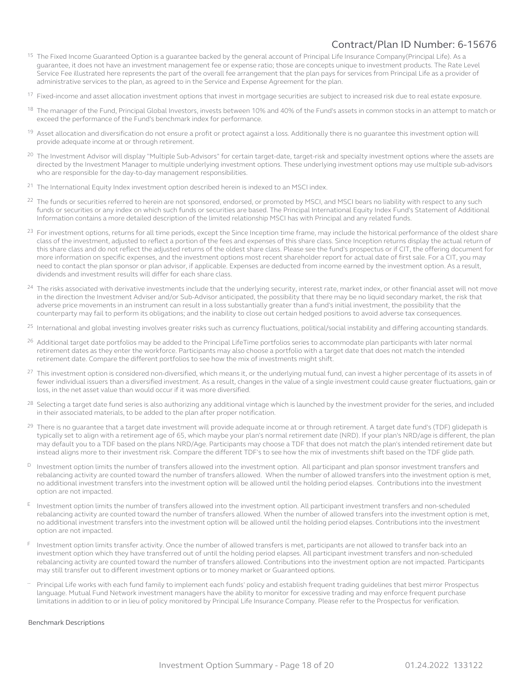- <sup>15</sup> The Fixed Income Guaranteed Option is a guarantee backed by the general account of Principal Life Insurance Company(Principal Life). As a guarantee, it does not have an investment management fee or expense ratio; those are concepts unique to investment products. The Rate Level Service Fee illustrated here represents the part of the overall fee arrangement that the plan pays for services from Principal Life as a provider of administrative services to the plan, as agreed to in the Service and Expense Agreement for the plan.
- <sup>17</sup> Fixed-income and asset allocation investment options that invest in mortgage securities are subject to increased risk due to real estate exposure.
- <sup>18</sup> The manager of the Fund, Principal Global Investors, invests between 10% and 40% of the Fund's assets in common stocks in an attempt to match or exceed the performance of the Fund's benchmark index for performance.
- <sup>19</sup> Asset allocation and diversification do not ensure a profit or protect against a loss. Additionally there is no guarantee this investment option will provide adequate income at or through retirement.
- <sup>20</sup> The Investment Advisor will display "Multiple Sub-Advisors" for certain target-date, target-risk and specialty investment options where the assets are directed by the Investment Manager to multiple underlying investment options. These underlying investment options may use multiple sub-advisors who are responsible for the day-to-day management responsibilities.
- <sup>21</sup> The International Equity Index investment option described herein is indexed to an MSCI index.
- The funds or securities referred to herein are not sponsored, endorsed, or promoted by MSCI, and MSCI bears no liability with respect to any such funds or securities or any index on which such funds or securities are based. The Principal International Equity Index Fund's Statement of Additional Information contains a more detailed description of the limited relationship MSCI has with Principal and any related funds.
- <sup>23</sup> For investment options, returns for all time periods, except the Since Inception time frame, may include the historical performance of the oldest share class of the investment, adjusted to reflect a portion of the fees and expenses of this share class. Since Inception returns display the actual return of this share class and do not reflect the adjusted returns of the oldest share class. Please see the fund's prospectus or if CIT, the offering document for more information on specific expenses, and the investment options most recent shareholder report for actual date of first sale. For a CIT, you may need to contact the plan sponsor or plan advisor, if applicable. Expenses are deducted from income earned by the investment option. As a result, dividends and investment results will differ for each share class.
- <sup>24</sup> The risks associated with derivative investments include that the underlying security, interest rate, market index, or other financial asset will not move in the direction the Investment Adviser and/or Sub-Advisor anticipated, the possibility that there may be no liquid secondary market, the risk that adverse price movements in an instrument can result in a loss substantially greater than a fund's initial investment, the possibility that the counterparty may fail to perform its obligations; and the inability to close out certain hedged positions to avoid adverse tax consequences.
- <sup>25</sup> International and global investing involves greater risks such as currency fluctuations, political/social instability and differing accounting standards.
- <sup>26</sup> Additional target date portfolios may be added to the Principal LifeTime portfolios series to accommodate plan participants with later normal retirement dates as they enter the workforce. Participants may also choose a portfolio with a target date that does not match the intended retirement date. Compare the different portfolios to see how the mix of investments might shift.
- <sup>27</sup> This investment option is considered non-diversified, which means it, or the underlying mutual fund, can invest a higher percentage of its assets in of fewer individual issuers than a diversified investment. As a result, changes in the value of a single investment could cause greater fluctuations, gain or loss, in the net asset value than would occur if it was more diversified.
- <sup>28</sup> Selecting a target date fund series is also authorizing any additional vintage which is launched by the investment provider for the series, and included in their associated materials, to be added to the plan after proper notification.
- <sup>29</sup> There is no guarantee that a target date investment will provide adequate income at or through retirement. A target date fund's (TDF) glidepath is typically set to align with a retirement age of 65, which maybe your plan's normal retirement date (NRD). If your plan's NRD/age is different, the plan may default you to a TDF based on the plans NRD/Age. Participants may choose a TDF that does not match the plan's intended retirement date but instead aligns more to their investment risk. Compare the different TDF's to see how the mix of investments shift based on the TDF glide path.
- D Investment option limits the number of transfers allowed into the investment option. All participant and plan sponsor investment transfers and rebalancing activity are counted toward the number of transfers allowed. When the number of allowed transfers into the investment option is met, no additional investment transfers into the investment option will be allowed until the holding period elapses. Contributions into the investment option are not impacted.
- Investment option limits the number of transfers allowed into the investment option. All participant investment transfers and non-scheduled rebalancing activity are counted toward the number of transfers allowed. When the number of allowed transfers into the investment option is met, no additional investment transfers into the investment option will be allowed until the holding period elapses. Contributions into the investment option are not impacted.
- Investment option limits transfer activity. Once the number of allowed transfers is met, participants are not allowed to transfer back into an investment option which they have transferred out of until the holding period elapses. All participant investment transfers and non-scheduled rebalancing activity are counted toward the number of transfers allowed. Contributions into the investment option are not impacted. Participants may still transfer out to different investment options or to money market or Guaranteed options.
- Principal Life works with each fund family to implement each funds' policy and establish frequent trading quidelines that best mirror Prospectus language. Mutual Fund Network investment managers have the ability to monitor for excessive trading and may enforce frequent purchase limitations in addition to or in lieu of policy monitored by Principal Life Insurance Company. Please refer to the Prospectus for verification.

#### Benchmark Descriptions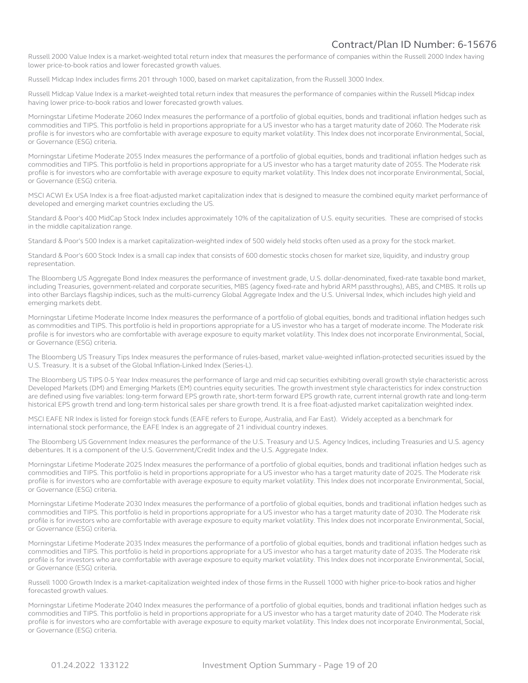Russell 2000 Value Index is a market-weighted total return index that measures the performance of companies within the Russell 2000 Index having lower price-to-book ratios and lower forecasted growth values.

Russell Midcap Index includes firms 201 through 1000, based on market capitalization, from the Russell 3000 Index.

Russell Midcap Value Index is a market-weighted total return index that measures the performance of companies within the Russell Midcap index having lower price-to-book ratios and lower forecasted growth values.

Morningstar Lifetime Moderate 2060 Index measures the performance of a portfolio of global equities, bonds and traditional inflation hedges such as commodities and TIPS. This portfolio is held in proportions appropriate for a US investor who has a target maturity date of 2060. The Moderate risk profile is for investors who are comfortable with average exposure to equity market volatility. This Index does not incorporate Environmental, Social, or Governance (ESG) criteria.

Morningstar Lifetime Moderate 2055 Index measures the performance of a portfolio of global equities, bonds and traditional inflation hedges such as commodities and TIPS. This portfolio is held in proportions appropriate for a US investor who has a target maturity date of 2055. The Moderate risk profile is for investors who are comfortable with average exposure to equity market volatility. This Index does not incorporate Environmental, Social, or Governance (ESG) criteria.

MSCI ACWI Ex USA Index is a free float-adjusted market capitalization index that is designed to measure the combined equity market performance of developed and emerging market countries excluding the US.

Standard & Poor's 400 MidCap Stock Index includes approximately 10% of the capitalization of U.S. equity securities. These are comprised of stocks in the middle capitalization range.

Standard & Poor's 500 Index is a market capitalization-weighted index of 500 widely held stocks often used as a proxy for the stock market.

Standard & Poor's 600 Stock Index is a small cap index that consists of 600 domestic stocks chosen for market size, liquidity, and industry group representation.

The Bloomberg US Aggregate Bond Index measures the performance of investment grade, U.S. dollar-denominated, fixed-rate taxable bond market, including Treasuries, government-related and corporate securities, MBS (agency fixed-rate and hybrid ARM passthroughs), ABS, and CMBS. It rolls up into other Barclays flagship indices, such as the multi-currency Global Aggregate Index and the U.S. Universal Index, which includes high yield and emerging markets debt.

Morningstar Lifetime Moderate Income Index measures the performance of a portfolio of global equities, bonds and traditional inflation hedges such as commodities and TIPS. This portfolio is held in proportions appropriate for a US investor who has a target of moderate income. The Moderate risk profile is for investors who are comfortable with average exposure to equity market volatility. This Index does not incorporate Environmental, Social, or Governance (ESG) criteria.

The Bloomberg US Treasury Tips Index measures the performance of rules-based, market value-weighted inflation-protected securities issued by the U.S. Treasury. It is a subset of the Global Inflation-Linked Index (Series-L).

The Bloomberg US TIPS 0-5 Year Index measures the performance of large and mid cap securities exhibiting overall growth style characteristic across Developed Markets (DM) and Emerging Markets (EM) countries equity securities. The growth investment style characteristics for index construction are defined using five variables: long-term forward EPS growth rate, short-term forward EPS growth rate, current internal growth rate and long-term historical EPS growth trend and long-term historical sales per share growth trend. It is a free float-adjusted market capitalization weighted index.

MSCI EAFE NR Index is listed for foreign stock funds (EAFE refers to Europe, Australia, and Far East). Widely accepted as a benchmark for international stock performance, the EAFE Index is an aggregate of 21 individual country indexes.

The Bloomberg US Government Index measures the performance of the U.S. Treasury and U.S. Agency Indices, including Treasuries and U.S. agency debentures. It is a component of the U.S. Government/Credit Index and the U.S. Aggregate Index.

Morningstar Lifetime Moderate 2025 Index measures the performance of a portfolio of global equities, bonds and traditional inflation hedges such as commodities and TIPS. This portfolio is held in proportions appropriate for a US investor who has a target maturity date of 2025. The Moderate risk profile is for investors who are comfortable with average exposure to equity market volatility. This Index does not incorporate Environmental, Social, or Governance (ESG) criteria.

Morningstar Lifetime Moderate 2030 Index measures the performance of a portfolio of global equities, bonds and traditional inflation hedges such as commodities and TIPS. This portfolio is held in proportions appropriate for a US investor who has a target maturity date of 2030. The Moderate risk profile is for investors who are comfortable with average exposure to equity market volatility. This Index does not incorporate Environmental, Social, or Governance (ESG) criteria.

Morningstar Lifetime Moderate 2035 Index measures the performance of a portfolio of global equities, bonds and traditional inflation hedges such as commodities and TIPS. This portfolio is held in proportions appropriate for a US investor who has a target maturity date of 2035. The Moderate risk profile is for investors who are comfortable with average exposure to equity market volatility. This Index does not incorporate Environmental, Social, or Governance (ESG) criteria.

Russell 1000 Growth Index is a market-capitalization weighted index of those firms in the Russell 1000 with higher price-to-book ratios and higher forecasted growth values.

Morningstar Lifetime Moderate 2040 Index measures the performance of a portfolio of global equities, bonds and traditional inflation hedges such as commodities and TIPS. This portfolio is held in proportions appropriate for a US investor who has a target maturity date of 2040. The Moderate risk profile is for investors who are comfortable with average exposure to equity market volatility. This Index does not incorporate Environmental, Social, or Governance (ESG) criteria.